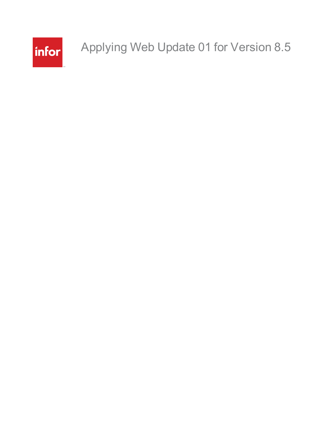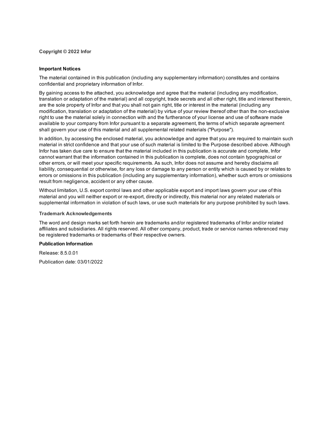**Copyright © 2022 Infor**

#### **Important Notices**

The material contained in this publication (including any supplementary information) constitutes and contains confidential and proprietary information of Infor.

By gaining access to the attached, you acknowledge and agree that the material (including any modification, translation or adaptation of the material) and all copyright, trade secrets and all other right, title and interest therein, are the sole property of Infor and that you shall not gain right, title or interest in the material (including any modification, translation or adaptation of the material) by virtue of your review thereof other than the non-exclusive right to use the material solely in connection with and the furtherance of your license and use of software made available to your company from Infor pursuant to a separate agreement, the terms of which separate agreement shall govern your use of this material and all supplemental related materials ("Purpose").

In addition, by accessing the enclosed material, you acknowledge and agree that you are required to maintain such material in strict confidence and that your use of such material is limited to the Purpose described above. Although Infor has taken due care to ensure that the material included in this publication is accurate and complete, Infor cannot warrant that the information contained in this publication is complete, does not contain typographical or other errors, or will meet your specific requirements. As such, Infor does not assume and hereby disclaims all liability, consequential or otherwise, for any loss or damage to any person or entity which is caused by or relates to errors or omissions in this publication (including any supplementary information), whether such errors or omissions result from negligence, accident or any other cause.

Without limitation, U.S. export control laws and other applicable export and import laws govern your use of this material and you will neither export or re-export, directly or indirectly, this material nor any related materials or supplemental information in violation of such laws, or use such materials for any purpose prohibited by such laws.

#### **Trademark Acknowledgements**

The word and design marks set forth herein are trademarks and/or registered trademarks of Infor and/or related affiliates and subsidiaries. All rights reserved. All other company, product, trade or service names referenced may be registered trademarks or trademarks of their respective owners.

#### **Publication Information**

Release: 8.5.0.01 Publication date: 03/01/2022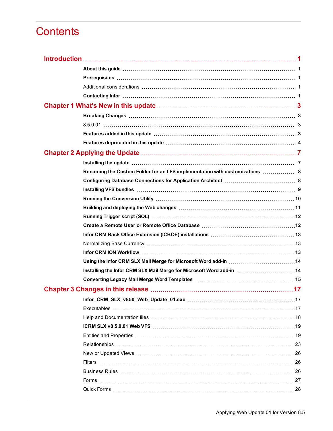# **Contents**

| Renaming the Custom Folder for an LFS implementation with customizations  8 |  |
|-----------------------------------------------------------------------------|--|
|                                                                             |  |
|                                                                             |  |
|                                                                             |  |
|                                                                             |  |
|                                                                             |  |
|                                                                             |  |
|                                                                             |  |
|                                                                             |  |
|                                                                             |  |
| Using the Infor CRM SLX Mail Merge for Microsoft Word add-in 14             |  |
| Installing the Infor CRM SLX Mail Merge for Microsoft Word add-in  14       |  |
|                                                                             |  |
|                                                                             |  |
|                                                                             |  |
|                                                                             |  |
|                                                                             |  |
|                                                                             |  |
|                                                                             |  |
|                                                                             |  |
|                                                                             |  |
|                                                                             |  |
|                                                                             |  |
|                                                                             |  |
|                                                                             |  |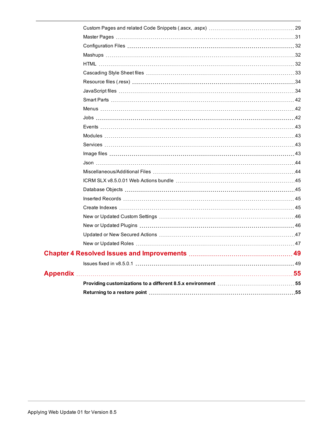| Appendix ………………………………………………………………………………………55 |  |
|----------------------------------------------|--|
|                                              |  |
|                                              |  |
|                                              |  |
|                                              |  |
|                                              |  |
|                                              |  |
|                                              |  |
|                                              |  |
|                                              |  |
|                                              |  |
|                                              |  |
|                                              |  |
|                                              |  |
|                                              |  |
|                                              |  |
|                                              |  |
|                                              |  |
|                                              |  |
|                                              |  |
|                                              |  |
|                                              |  |
|                                              |  |
|                                              |  |
|                                              |  |
|                                              |  |
|                                              |  |
|                                              |  |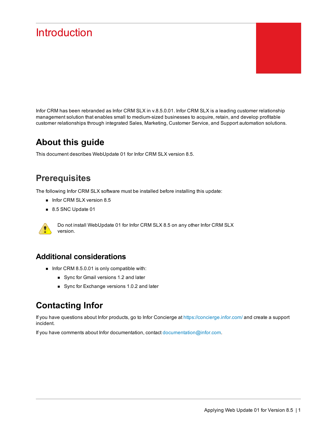# <span id="page-4-0"></span>**Introduction**

Infor CRM has been rebranded as Infor CRM SLX in v.8.5.0.01. Infor CRM SLX is a leading customer relationship management solution that enables small to medium-sized businesses to acquire, retain, and develop profitable customer relationships through integrated Sales, Marketing, Customer Service, and Support automation solutions.

## <span id="page-4-1"></span>**About this guide**

This document describes WebUpdate 01 for Infor CRM SLX version 8.5.

## <span id="page-4-2"></span>**Prerequisites**

The following Infor CRM SLX software must be installed before installing this update:

- n Infor CRM SLX version 8.5
- 8.5 SNC Update 01



Do not install WebUpdate 01 for Infor CRM SLX 8.5 on any other Infor CRM SLX version.

#### <span id="page-4-3"></span>**Additional considerations**

- Infor CRM 8.5.0.01 is only compatible with:
	- Sync for Gmail versions 1.2 and later
	- Sync for Exchange versions 1.0.2 and later

## <span id="page-4-4"></span>**Contacting Infor**

If you have questions about Infor products, go to Infor Concierge at [https://concierge.infor.com/](https://icp.cloud.infor.com/infor/0c859ff0-1676-4dd6-8712-2641ed1ee870?favoriteContext=%7B%22type%22%3A%22page%22%2C%22id%22%3A%221780b62e-dacb-4fae-b360-cda8ebd0be07%22%7D&LogicalId=lid://infor.homepages.1) and create a support incident.

If you have comments about Infor documentation, contact [documentation@infor.com](mailto:documentation@inform.com).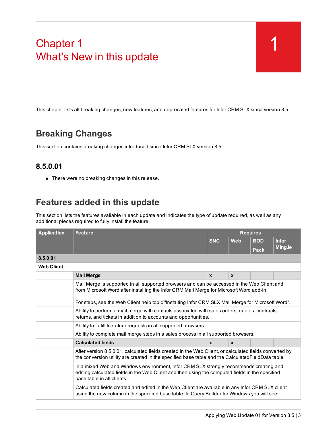# <span id="page-6-0"></span>Chapter 1 What's New in this update

This chapter lists all breaking changes, new features, and deprecated features for Infor CRM SLX since version 8.5.

## <span id="page-6-1"></span>**Breaking Changes**

<span id="page-6-2"></span>This section contains breaking changes introduced since Infor CRM SLX version 8.5

#### **8.5.0.01**

■ There were no breaking changes in this release.

## <span id="page-6-3"></span>**Features added in this update**

This section lists the features available in each update and indicates the type of update required, as well as any additional pieces required to fully install the feature.

| <b>Application</b> | <b>Feature</b>                                                                                                                                                                                                          |              | <b>Requires</b> |            |              |  |
|--------------------|-------------------------------------------------------------------------------------------------------------------------------------------------------------------------------------------------------------------------|--------------|-----------------|------------|--------------|--|
|                    |                                                                                                                                                                                                                         | <b>SNC</b>   | <b>Web</b>      | <b>BOD</b> | <b>Infor</b> |  |
|                    |                                                                                                                                                                                                                         |              |                 | Pack       | Ming.le      |  |
| 8.5.0.01           |                                                                                                                                                                                                                         |              |                 |            |              |  |
| <b>Web Client</b>  |                                                                                                                                                                                                                         |              |                 |            |              |  |
|                    | <b>Mail Merge</b>                                                                                                                                                                                                       | $\mathbf{x}$ | $\mathbf{x}$    |            |              |  |
|                    | Mail Merge is supported in all supported browsers and can be accessed in the Web Client and<br>from Microsoft Word after installing the Infor CRM Mail Merge for Microsoft Word add-in.                                 |              |                 |            |              |  |
|                    | For steps, see the Web Client help topic "Installing Infor CRM SLX Mail Merge for Microsoft Word".                                                                                                                      |              |                 |            |              |  |
|                    | Ability to perform a mail merge with contacts associated with sales orders, quotes, contracts,<br>returns, and tickets in addition to accounts and opportunities.                                                       |              |                 |            |              |  |
|                    | Ability to fulfill literature requests in all supported browsers.                                                                                                                                                       |              |                 |            |              |  |
|                    | Ability to complete mail merge steps in a sales process in all supported browsers.                                                                                                                                      |              |                 |            |              |  |
|                    | <b>Calculated fields</b>                                                                                                                                                                                                | $\mathbf{x}$ | $\mathbf{x}$    |            |              |  |
|                    | After version 8.5.0.01, calculated fields created in the Web Client, or calculated fields converted by<br>the conversion utility are created in the specified base table and the Calculated Field Data table.           |              |                 |            |              |  |
|                    | In a mixed Web and Windows environment, Infor CRM SLX strongly recommends creating and<br>editing calculated fields in the Web Client and then using the computed fields in the specified<br>base table in all clients. |              |                 |            |              |  |
|                    | Calculated fields created and edited in the Web Client are available in any Infor CRM SLX client<br>using the new column in the specified base table. In Query Builder for Windows you will see                         |              |                 |            |              |  |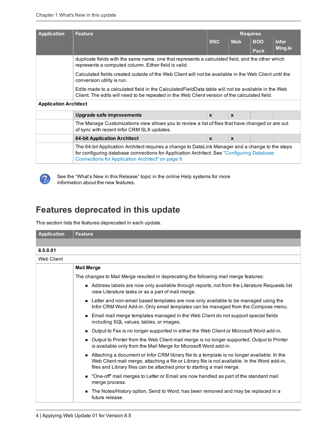| <b>Application</b>           | <b>Feature</b>                                                                                                                                                                                                                                     | <b>Requires</b>                                                                                       |              |            |              |  |
|------------------------------|----------------------------------------------------------------------------------------------------------------------------------------------------------------------------------------------------------------------------------------------------|-------------------------------------------------------------------------------------------------------|--------------|------------|--------------|--|
|                              |                                                                                                                                                                                                                                                    | <b>SNC</b>                                                                                            | <b>Web</b>   | <b>BOD</b> | <b>Infor</b> |  |
|                              |                                                                                                                                                                                                                                                    |                                                                                                       |              | Pack       | Ming.le      |  |
|                              | duplicate fields with the same name, one that represents a calculated field, and the other which<br>represents a computed column. Either field is valid.                                                                                           |                                                                                                       |              |            |              |  |
|                              | conversion utility is run.                                                                                                                                                                                                                         | Calculated fields created outside of the Web Client will not be available in the Web Client until the |              |            |              |  |
|                              | Edits made to a calculated field in the Calculated Field Data table will not be available in the Web<br>Client. The edits will need to be repeated in the Web Client version of the calculated field.                                              |                                                                                                       |              |            |              |  |
| <b>Application Architect</b> |                                                                                                                                                                                                                                                    |                                                                                                       |              |            |              |  |
|                              | Upgrade safe improvements                                                                                                                                                                                                                          | $\mathbf{x}$                                                                                          | $\mathbf{x}$ |            |              |  |
|                              | The Manage Customizations view allows you to review a list of files that have changed or are out<br>of sync with recent Infor CRM SLX updates.                                                                                                     |                                                                                                       |              |            |              |  |
|                              | <b>64-bit Application Architect</b>                                                                                                                                                                                                                | $\mathbf{x}$                                                                                          | $\mathbf{x}$ |            |              |  |
|                              | The 64-bit Application Architect requires a change to DataLink Manager and a change to the steps<br>for configuring database connections for Application Architect. See "Configuring Database"<br>Connections for Application Architect" on page 8 |                                                                                                       |              |            |              |  |



See the "What's New in this Release" topic in the online Help systems for more information about the new features.

## <span id="page-7-0"></span>**Features deprecated in this update**

This section lists the features deprecated in each update.

| <b>Application</b> | <b>Feature</b>                                                                                                                                                                                                                                                          |
|--------------------|-------------------------------------------------------------------------------------------------------------------------------------------------------------------------------------------------------------------------------------------------------------------------|
|                    |                                                                                                                                                                                                                                                                         |
| 8.5.0.01           |                                                                                                                                                                                                                                                                         |
| Web Client         |                                                                                                                                                                                                                                                                         |
|                    | <b>Mail Merge</b>                                                                                                                                                                                                                                                       |
|                    | The changes to Mail Merge resulted in deprecating the following mail merge features:                                                                                                                                                                                    |
|                    | Address labels are now only available through reports, not from the Literature Requests list<br>view Literature tasks or as a part of mail merge.                                                                                                                       |
|                    | • Letter and non-email based templates are now only available to be managed using the<br>Infor CRM Word Add-in. Only email templates can be managed from the Compose menu.                                                                                              |
|                    | Email mail merge templates managed in the Web Client do not support special fields<br>including SQL values, tables, or images.                                                                                                                                          |
|                    | Output to Fax is no longer supported in either the Web Client or Microsoft Word add-in.                                                                                                                                                                                 |
|                    | Output to Printer from the Web Client mail merge is no longer supported. Output to Printer<br>is available only from the Mail Merge for Microsoft Word add-in.                                                                                                          |
|                    | Attaching a document or Infor CRM library file to a template is no longer available. In the<br>Web Client mail merge, attaching a file or Library file is not available. In the Word add-in,<br>files and Library files can be attached prior to starting a mail merge. |
|                    | "One-off" mail merges to Letter or Email are now handled as part of the standard mail<br>merge process.                                                                                                                                                                 |
|                    | The Notes/History option, Send to Word, has been removed and may be replaced in a<br>future release.                                                                                                                                                                    |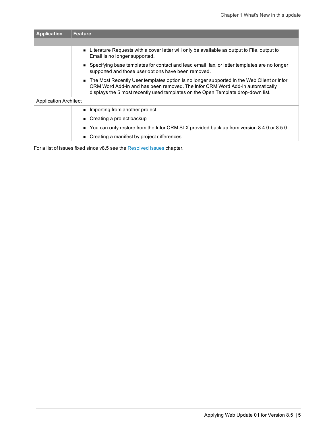| <b>Application</b>           | <b>Feature</b>                                                                                                                                                                                                                                                 |
|------------------------------|----------------------------------------------------------------------------------------------------------------------------------------------------------------------------------------------------------------------------------------------------------------|
|                              |                                                                                                                                                                                                                                                                |
|                              | Literature Requests with a cover letter will only be available as output to File, output to<br>Email is no longer supported.                                                                                                                                   |
|                              | ■ Specifying base templates for contact and lead email, fax, or letter templates are no longer<br>supported and those user options have been removed.                                                                                                          |
|                              | The Most Recently User templates option is no longer supported in the Web Client or Infor<br>CRM Word Add-in and has been removed. The Infor CRM Word Add-in automatically<br>displays the 5 most recently used templates on the Open Template drop-down list. |
| <b>Application Architect</b> |                                                                                                                                                                                                                                                                |
|                              | ■ Importing from another project.                                                                                                                                                                                                                              |
|                              | $\blacksquare$ Creating a project backup                                                                                                                                                                                                                       |
|                              | ■ You can only restore from the Infor CRM SLX provided back up from version 8.4.0 or 8.5.0.                                                                                                                                                                    |
|                              | Creating a manifest by project differences                                                                                                                                                                                                                     |

For a list of issues fixed since v8.5 see the [Resolved](#page-52-2) Issues chapter.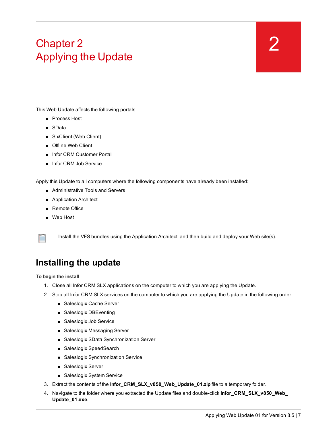# <span id="page-10-0"></span>Chapter 2 Applying the Update

<span id="page-10-2"></span>This Web Update affects the following portals:

- **n** Process Host
- SData
- SlxClient (Web Client)
- **n** Offline Web Client
- **n** Infor CRM Customer Portal
- Infor CRM Job Service

Apply this Update to all computers where the following components have already been installed:

- Administrative Tools and Servers
- Application Architect
- Remote Office
- **n** Web Host



Install the VFS bundles using the Application Architect, and then build and deploy your Web site(s).

## <span id="page-10-1"></span>**Installing the update**

**To begin the install**

- 1. Close all Infor CRM SLX applications on the computer to which you are applying the Update.
- 2. Stop all Infor CRM SLX services on the computer to which you are applying the Update in the following order:
	- Saleslogix Cache Server
	- Saleslogix DBEventing
	- Saleslogix Job Service
	- Saleslogix Messaging Server
	- Saleslogix SData Synchronization Server
	- Saleslogix SpeedSearch
	- Saleslogix Synchronization Service
	- Saleslogix Server
	- Saleslogix System Service
- 3. Extract the contents of the **Infor\_CRM\_SLX\_v850\_Web\_Update\_01.zip** file to a temporary folder.
- 4. Navigate to the folder where you extracted the Update files and double-click **Infor\_CRM\_SLX\_v850\_Web\_ Update\_01.exe**.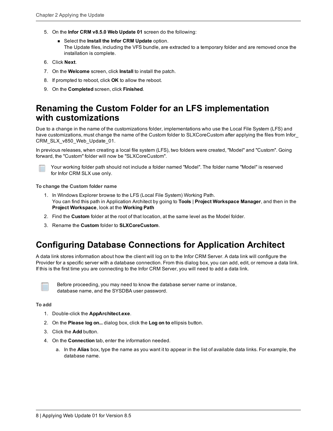- 5. On the **Infor CRM v8.5.0 Web Update 01** screen do the following:
	- <sup>n</sup> Select the **Install the Infor CRM Update** option. The Update files, including the VFS bundle, are extracted to a temporary folder and are removed once the installation is complete.
- 6. Click **Next**.
- 7. On the **Welcome** screen, click **Install** to install the patch.
- 8. If prompted to reboot, click **OK** to allow the reboot.
- 9. On the **Completed** screen, click **Finished**.

### <span id="page-11-0"></span>**Renaming the Custom Folder for an LFS implementation with customizations**

Due to a change in the name of the customizations folder, implementations who use the Local File System (LFS) and have customizations, must change the name of the Custom folder to SLXCoreCustom after applying the files from Infor\_ CRM\_SLX\_v850\_Web\_Update\_01.

In previous releases, when creating a local file system (LFS), two folders were created, "Model" and "Custom". Going forward, the "Custom" folder will now be "SLXCoreCustom".



Your working folder path should not include a folder named "Model". The folder name "Model" is reserved for Infor CRM SLX use only.

**To change the Custom folder name**

- 1. In Windows Explorer browse to the LFS (Local File System) Working Path. You can find this path in Application Architect by going to **Tools** | **Project Workspace Manager**, and then in the **Project Workspace**, look at the **Working Path**
- 2. Find the **Custom** folder at the root of that location, at the same level as the Model folder.
- 3. Rename the **Custom** folder to **SLXCoreCustom**.

## <span id="page-11-1"></span>**Configuring Database Connections for Application Architect**

A data link stores information about how the client will log on to the Infor CRM Server. A data link will configure the Provider for a specific server with a database connection. From this dialog box, you can add, edit, or remove a data link. If this is the first time you are connecting to the Infor CRM Server, you will need to add a data link.



Before proceeding, you may need to know the database server name or instance, database name, and the SYSDBA user password.

#### **To add**

- 1. Double-click the **AppArchitect.exe**.
- 2. On the **Please log on...** dialog box, click the **Log on to** ellipsis button.
- 3. Click the **Add** button.
- 4. On the **Connection** tab, enter the information needed.
	- a. In the **Alias** box, type the name as you want it to appear in the list of available data links. For example, the database name.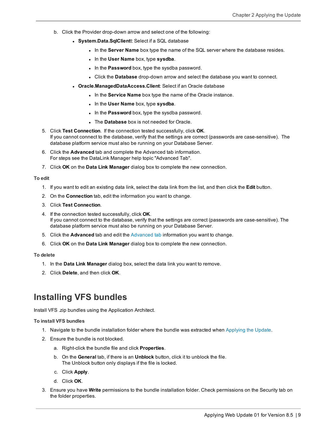- b. Click the Provider drop-down arrow and select one of the following:
	- **.** System.Data.SqlClientt: Select if a SQL database
		- $\bullet$  In the **Server Name** box type the name of the SQL server where the database resides.
		- $\bullet$  In the User Name box, type sysdba.
		- **.** In the **Password** box, type the sysdba password.
		- **.** Click the Database drop-down arrow and select the database you want to connect.
	- **.** Oracle.ManagedDataAccess.Client: Select if an Oracle database
		- **.** In the **Service Name** box type the name of the Oracle instance.
		- $\bullet$  In the User Name box, type sysdba.
		- . In the **Password** box, type the sysdba password.
		- **.** The **Database** box is not needed for Oracle.
- 5. Click **Test Connection**. If the connection tested successfully, click **OK**. If you cannot connect to the database, verify that the settings are correct (passwords are case-sensitive). The database platform service must also be running on your Database Server.
- 6. Click the **Advanced** tab and complete the Advanced tab information. For steps see the DataLink Manager help topic "Advanced Tab".
- 7. Click **OK** on the **Data Link Manager** dialog box to complete the new connection.

**To edit**

- 1. If you want to edit an existing data link, select the data link from the list, and then click the **Edit** button.
- 2. On the **Connection** tab, edit the information you want to change.
- 3. Click **Test Connection**.
- 4. If the connection tested successfully, click **OK**. If you cannot connect to the database, verify that the settings are correct (passwords are case-sensitive). The database platform service must also be running on your Database Server.
- 5. Click the **Advanced** tab and edit the Advanced tab information you want to change.
- 6. Click **OK** on the **Data Link Manager** dialog box to complete the new connection.

#### **To delete**

- 1. In the **Data Link Manager** dialog box, select the data link you want to remove.
- 2. Click **Delete**, and then click **OK**.

#### <span id="page-12-0"></span>**Installing VFS bundles**

Install VFS .zip bundles using the Application Architect.

#### **To install VFS bundles**

- 1. Navigate to the bundle installation folder where the bundle was extracted when [Applying](#page-10-2) the Update.
- 2. Ensure the bundle is not blocked.
	- a. Right-click the bundle file and click **Properties**.
	- b. On the **General** tab, if there is an **Unblock** button, click it to unblock the file. The Unblock button only displays if the file is locked.
	- c. Click **Apply**.
	- d. Click **OK**.
- 3. Ensure you have **Write** permissions to the bundle installation folder. Check permissions on the Security tab on the folder properties.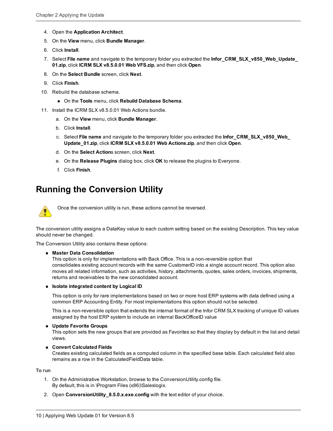- 4. Open the **Application Architect**.
- 5. On the **View** menu, click **Bundle Manager**.
- 6. Click **Install**.
- 7. Select **File name** and navigate to the temporary folder you extracted the **Infor\_CRM\_SLX\_v850\_Web\_Update\_ 01.zip**, click **ICRM SLX v8.5.0.01 Web VFS.zip**, and then click **Open**.
- 8. On the **Select Bundle** screen, click **Next**.
- 9. Click **Finish**.
- 10. Rebuild the database schema.
	- <sup>n</sup> On the **Tools** menu, click **Rebuild Database Schema**.
- 11. Install the ICRM SLX v8.5.0.01 Web Actions bundle.
	- a. On the **View** menu, click **Bundle Manager**.
	- b. Click **Install**.
	- c. Select **File name** and navigate to the temporary folder you extracted the **Infor\_CRM\_SLX\_v850\_Web\_ Update\_01.zip**, click **ICRM SLX v8.5.0.01 Web Actions.zip**, and then click **Open**.
	- d. On the **Select Action**s screen, click **Next**.
	- e. On the **Release Plugins** dialog box, click **OK** to release the plugins to Everyone.
	- f. Click **Finish**.

## <span id="page-13-0"></span>**Running the Conversion Utility**



Once the conversion utility is run, these actions cannot be reversed.

The conversion utility assigns a DataKey value to each custom setting based on the existing Description. This key value should never be changed.

The Conversion Utility also contains these options:

#### <sup>n</sup> **Master Data Consolidation**

This option is only for implementations with Back Office. This is a non-reversible option that consolidates existing account records with the same CustomerID into a single account record. This option also moves all related information, such as activities, history, attachments, quotes, sales orders, invoices, shipments, returns and receivables to the new consolidated account.

#### <sup>n</sup> **Isolate integrated content by Logical ID**

This option is only for rare implementations based on two or more host ERP systems with data defined using a common ERP Accounting Entity. For most implementations this option should not be selected.

This is a non-reversible option that extends the internal format of the Infor CRM SLX tracking of unique ID values assigned by the host ERP system to include an internal BackOfficeID value

#### **Update Favorite Groups**

This option sets the new groups that are provided as Favorites so that they display by default in the list and detail views.

#### n **Convert Calculated Fields**

Creates existing calculated fields as a computed column in the specified base table. Each calculated field also remains as a row in the CalculatedFieldData table.

**To run**

- 1. On the Administrative Workstation, browse to the ConversionUtility.config file. By default, this is in \Program Files (x86)\Saleslogix.
- 2. Open **ConversionUtility\_8.5.0.x.exe.config** with the text editor of your choice.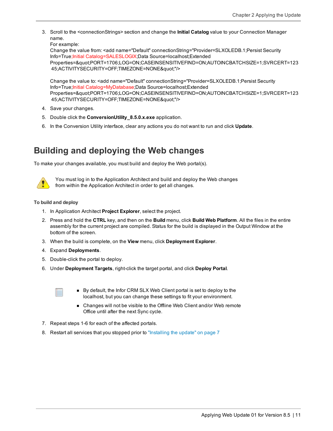3. Scroll to the <connectionStrings> section and change the **Initial Catalog** value to your Connection Manager name.

For example:

Change the value from: <add name="Default" connectionString="Provider=SLXOLEDB.1;Persist Security Info=True;Initial Catalog=SALESLOGIX;Data Source=localhost;Extended Properties="PORT=1706;LOG=ON;CASEINSENSITIVEFIND=ON;AUTOINCBATCHSIZE=1;SVRCERT=123 45;ACTIVITYSECURITY=OFF;TIMEZONE=NONE""/>

Change the value to: <add name="Default" connectionString="Provider=SLXOLEDB.1;Persist Security Info=True;Initial Catalog=MyDatabase;Data Source=localhost;Extended Properties="PORT=1706;LOG=ON;CASEINSENSITIVEFIND=ON;AUTOINCBATCHSIZE=1;SVRCERT=123 45;ACTIVITYSECURITY=OFF;TIMEZONE=NONE""/>

- 4. Save your changes.
- 5. Double click the **ConversionUtility\_8.5.0.x.exe** application.
- 6. In the Conversion Utility interface, clear any actions you do not want to run and click **Update**.

## <span id="page-14-0"></span>**Building and deploying the Web changes**

To make your changes available, you must build and deploy the Web portal(s).



You must log in to the Application Architect and build and deploy the Web changes from within the Application Architect in order to get all changes.

#### **To build and deploy**

- 1. In Application Architect **Project Explorer**, select the project.
- 2. Press and hold the **CTRL** key, and then on the **Build** menu, click **Build Web Platform**. All the files in the entire assembly for the current project are compiled. Status for the build is displayed in the Output Window at the bottom of the screen.
- 3. When the build is complete, on the **View** menu, click **Deployment Explorer**.
- 4. Expand **Deployments**.
- 5. Double-click the portal to deploy.
- 6. Under **Deployment Targets**, right-click the target portal, and click **Deploy Portal**.
	-
- By default, the Infor CRM SLX Web Client portal is set to deploy to the localhost, but you can change these settings to fit your environment.
- Changes will not be visible to the Offline Web Client and/or Web remote Office until after the next Sync cycle.
- 7. Repeat steps 1-6 for each of the affected portals.
- 8. Restart all services that you stopped prior to ["Installing](#page-10-1) the update" on page 7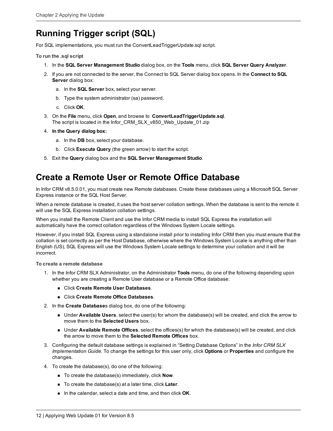## <span id="page-15-0"></span>**Running Trigger script (SQL)**

For SQL implementations, you must run the ConvertLeadTriggerUpdate.sql script.

**To run the .sql script**

- 1. In the **SQL Server Management Studio** dialog box, on the **Tools** menu, click **SQL Server Query Analyzer**.
- 2. If you are not connected to the server, the Connect to SQL Server dialog box opens. In the **Connect to SQL Server** dialog box:
	- a. In the **SQL Server** box, select your server.
	- b. Type the system administrator (sa) password.
	- c. Click **OK**.
- 3. On the **File** menu, click **Open**, and browse to **ConvertLeadTriggerUpdate.sql**. The script is located in the Infor\_CRM\_SLX\_v850\_Web\_Update\_01.zip
- 4. **In the Query dialog box:**
	- a. In the **DB** box, select your database.
	- b. Click **Execute Query** (the green arrow) to start the script.
- 5. Exit the **Query** dialog box and the **SQL Server Management Studio**.

### <span id="page-15-1"></span>**Create a Remote User or Remote Office Database**

In Infor CRM v8.5.0.01, you must create new Remote databases. Create these databases using a Microsoft SQL Server Express instance or the SQL Host Server.

When a remote database is created, it uses the host server collation settings. When the database is sent to the remote it will use the SQL Express installation collation settings.

When you install the Remote Client and use the Infor CRM media to install SQL Express the installation will automatically have the correct collation regardless of the Windows System Locale settings.

However, if you install SQL Express using a standalone install prior to installing Infor CRM then you must ensure that the collation is set correctly as per the Host Database, otherwise where the Windows System Locale is anything other than English (US), SQL Express will use the Windows System Locale settings to determine your collation and it will be incorrect.

#### **To create a remote database**

- 1. In the Infor CRM SLX Administrator, on the Administrator **Tools** menu, do one of the following depending upon whether you are creating a Remote User database or a Remote Office database:
	- <sup>n</sup> Click **Create Remote User Databases**.
	- n Click **Create Remote Office Databases**.
- 2. In the **Create Database**s dialog box, do one of the following:
	- n Under **Available Users**, select the user(s) for whom the database(s) will be created, and click the arrow to move them to the **Selected Users** box.
	- n Under **Available Remote Offices**, select the offices(s) for which the database(s) will be created, and click the arrow to move them to the **Selected Remote Offices** box.
- 3. Configuring the default database settings is explained in "Setting Database Options" in the *Infor CRM SLX Implementation Guide*. To change the settings for this user only, click **Options** or **Properties** and configure the changes.
- 4. To create the database(s), do one of the following:
	- To create the database(s) immediately, click **Now**.
	- To create the database(s) at a later time, click **Later**.
	- **n** In the calendar, select a date and time, and then click **OK**.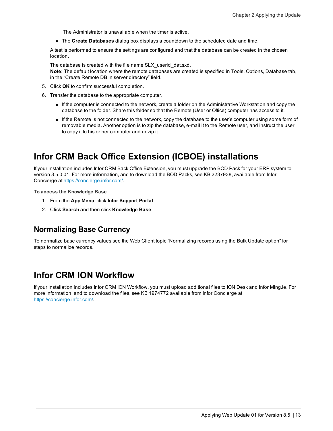The Administrator is unavailable when the timer is active.

**n** The **Create Databases** dialog box displays a countdown to the scheduled date and time.

A test is performed to ensure the settings are configured and that the database can be created in the chosen location.

The database is created with the file name SLX\_userid\_dat.sxd. **Note:** The default location where the remote databases are created is specified in Tools, Options, Database tab, in the "Create Remote DB in server directory" field.

- 5. Click **OK** to confirm successful completion.
- 6. Transfer the database to the appropriate computer.
	- <sup>n</sup> If the computer is connected to the network, create a folder on the Administrative Workstation and copy the database to the folder. Share this folder so that the Remote (User or Office) computer has access to it.
	- <sup>n</sup> If the Remote is not connected to the network, copy the database to the user's computer using some form of removable media. Another option is to zip the database, e-mail it to the Remote user, and instruct the user to copy it to his or her computer and unzip it.

### <span id="page-16-0"></span>**Infor CRM Back Office Extension (ICBOE) installations**

If your installation includes Infor CRM Back Office Extension, you must upgrade the BOD Pack for your ERP system to version 8.5.0.01. For more information, and to download the BOD Packs, see KB 2237938, available from Infor Concierge at [https://concierge.infor.com/.](https://icp.cloud.infor.com/infor/0c859ff0-1676-4dd6-8712-2641ed1ee870?favoriteContext=%7B%22type%22%3A%22page%22%2C%22id%22%3A%221780b62e-dacb-4fae-b360-cda8ebd0be07%22%7D&LogicalId=lid://infor.homepages.1)

**To access the Knowledge Base**

- 1. From the **App Menu**, click **Infor Support Portal**.
- <span id="page-16-1"></span>2. Click **Search** and then click **Knowledge Base**.

#### **Normalizing Base Currency**

To normalize base currency values see the Web Client topic "Normalizing records using the Bulk Update option" for steps to normalize records.

### <span id="page-16-2"></span>**Infor CRM ION Workflow**

If your installation includes Infor CRM ION Workflow, you must upload additional files to ION Desk and Infor Ming.le. For more information, and to download the files, see KB 1974772 available from Infor Concierge at [https://concierge.infor.com/](https://icp.cloud.infor.com/infor/0c859ff0-1676-4dd6-8712-2641ed1ee870?favoriteContext=%7B%22type%22%3A%22page%22%2C%22id%22%3A%221780b62e-dacb-4fae-b360-cda8ebd0be07%22%7D&LogicalId=lid://infor.homepages.1).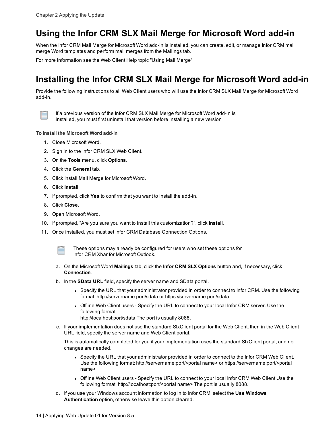## <span id="page-17-0"></span>**Using the Infor CRM SLX Mail Merge for Microsoft Word add-in**

When the Infor CRM Mail Merge for Microsoft Word add-in is installed, you can create, edit, or manage Infor CRM mail merge Word templates and perform mail merges from the Mailings tab.

For more information see the Web Client Help topic "Using Mail Merge"

## <span id="page-17-1"></span>**Installing the Infor CRM SLX Mail Merge for Microsoft Word add-in**

Provide the following instructions to all Web Client users who will use the Infor CRM SLX Mail Merge for Microsoft Word add-in.



If a previous version of the Infor CRM SLX Mail Merge for Microsoft Word add-in is installed, you must first uninstall that version before installing a new version

#### **To install the Microsoft Word add-in**

- 1. Close Microsoft Word.
- 2. Sign in to the Infor CRM SLX Web Client.
- 3. On the **Tools** menu, click **Options**.
- 4. Click the **General** tab.
- 5. Click Install Mail Merge for Microsoft Word.
- 6. Click **Install**.
- 7. If prompted, click **Yes** to confirm that you want to install the add-in.
- 8. Click **Close**.
- 9. Open Microsoft Word.
- 10. If prompted, "Are you sure you want to install this customization?", click **Install**.
- 11. Once installed, you must set Infor CRM Database Connection Options.



These options may already be configured for users who set these options for Infor CRM Xbar for Microsoft Outlook.

- a. On the Microsoft Word **Mailings** tab, click the **Infor CRM SLX Options** button and, if necessary, click **Connection**.
- b. In the **SData URL** field, specify the server name and SData portal.
	- Specify the URL that your administrator provided in order to connect to Infor CRM. Use the following format: http://servername:port/sdata or https://servername:port/sdata
	- <sup>l</sup> Offline Web Client users Specify the URL to connect to your local Infor CRM server. Use the following format:

http://localhost:port/sdata The port is usually 8088.

c. If your implementation does not use the standard SlxClient portal for the Web Client, then in the Web Client URL field, specify the server name and Web Client portal.

This is automatically completed for you if your implementation uses the standard SlxClient portal, and no changes are needed.

- Specify the URL that your administrator provided in order to connect to the Infor CRM Web Client. Use the following format: http://servername:port/<portal name> or https://servername:port/<portal name>
- <sup>l</sup> Offline Web Client users Specify the URL to connect to your local Infor CRM Web Client Use the following format: http://localhost:port/<portal name> The port is usually 8088.
- d. If you use your Windows account information to log in to Infor CRM, select the **Use Windows Authentication** option, otherwise leave this option cleared.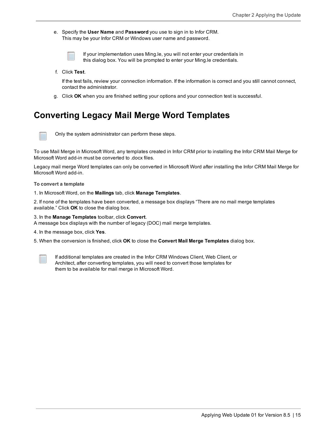- e. Specify the **User Name** and **Password** you use to sign in to Infor CRM. This may be your Infor CRM or Windows user name and password.
	-

If your implementation uses Ming.le, you will not enter your credentials in this dialog box. You will be prompted to enter your Ming.le credentials.

f. Click **Test**.

If the test fails, review your connection information. If the information is correct and you still cannot connect, contact the administrator.

g. Click **OK** when you are finished setting your options and your connection test is successful.

## <span id="page-18-0"></span>**Converting Legacy Mail Merge Word Templates**



Only the system administrator can perform these steps.

To use Mail Merge in Microsoft Word, any templates created in Infor CRM prior to installing the Infor CRM Mail Merge for Microsoft Word add-in must be converted to .docx files.

Legacy mail merge Word templates can only be converted in Microsoft Word after installing the Infor CRM Mail Merge for Microsoft Word add-in.

**To convert a template**

1. In Microsoft Word, on the **Mailings** tab, click **Manage Templates**.

2. If none of the templates have been converted, a message box displays "There are no mail merge templates available." Click **OK** to close the dialog box.

3. In the **Manage Templates** toolbar, click **Convert**.

A message box displays with the number of legacy (DOC) mail merge templates.

4. In the message box, click **Yes**.

5. When the conversion is finished, click **OK** to close the **Convert Mail Merge Templates** dialog box.



If additional templates are created in the Infor CRM Windows Client, Web Client, or Architect, after converting templates, you will need to convert those templates for them to be available for mail merge in Microsoft Word.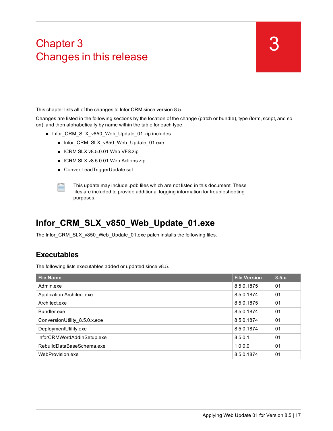# <span id="page-20-0"></span>Chapter 3 Changes in this release

This chapter lists all of the changes to Infor CRM since version 8.5.

Changes are listed in the following sections by the location of the change (patch or bundle), type (form, script, and so on), and then alphabetically by name within the table for each type.

- Infor\_CRM\_SLX\_v850\_Web\_Update\_01.zip includes:
	- Infor\_CRM\_SLX\_v850\_Web\_Update\_01.exe
	- ICRM SLX v8.5.0.01 Web VFS.zip
	- ICRM SLX v8.5.0.01 Web Actions.zip
	- ConvertLeadTriggerUpdate.sql



This update may include .pdb files which are not listed in this document. These files are included to provide additional logging information for troubleshooting purposes.

## <span id="page-20-1"></span>**Infor\_CRM\_SLX\_v850\_Web\_Update\_01.exe**

<span id="page-20-2"></span>The Infor\_CRM\_SLX\_v850\_Web\_Update\_01.exe patch installs the following files.

#### **Executables**

The following lists executables added or updated since v8.5.

| <b>Flie Name</b>              | <b>File Version</b> | 8.5.x          |
|-------------------------------|---------------------|----------------|
| Admin exe                     | 8.5.0.1875          | 01             |
| Application Architect.exe     | 8.5.0.1874          | 01             |
| Architect.exe                 | 8.5.0.1875          | 0 <sub>1</sub> |
| Bundler.exe                   | 8.5.0.1874          | 01             |
| ConversionUtility_8.5.0.x.exe | 8.5.0.1874          | 01             |
| DeploymentUtility.exe         | 8.5.0.1874          | 01             |
| InforCRMWordAddinSetup.exe    | 8.5.0.1             | 0 <sub>1</sub> |
| RebuildDataBaseSchema.exe     | 1.0.0.0             | 01             |
| WebProvision.exe              | 8.5.0.1874          | 01             |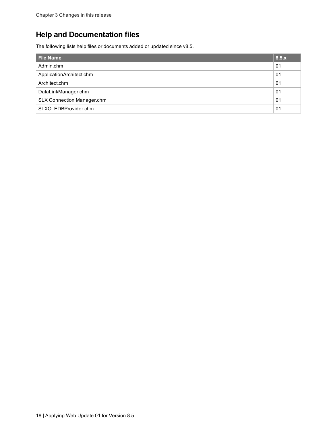### <span id="page-21-0"></span>**Help and Documentation files**

The following lists help files or documents added or updated since v8.5.

| Flie Name                         | 8.5.x          |
|-----------------------------------|----------------|
| Admin.chm                         | 01             |
| ApplicationArchitect.chm          | 0 <sub>1</sub> |
| Architect.chm                     | 01             |
| DataLinkManager.chm               | 01             |
| <b>SLX Connection Manager.chm</b> | 01             |
| SLXOLEDBProvider.chm              | 01             |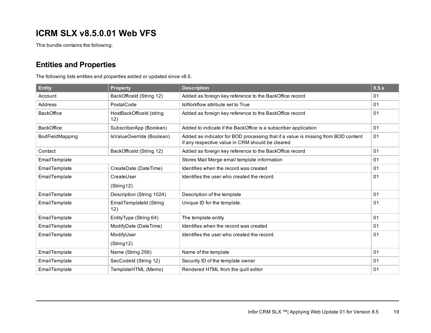## <span id="page-22-0"></span>**ICRM SLX v8.5.0.01 Web VFS**

<span id="page-22-1"></span>This bundle contains the following:

### **Entities and Properties**

The following lists entities and properties added or updated since v8.5.

| <b>Entity</b>     | <b>Property</b>                 | <b>Description</b>                                                                                                                    | 8.5.x |
|-------------------|---------------------------------|---------------------------------------------------------------------------------------------------------------------------------------|-------|
| Account           | BackOfficeld (String 12)        | Added as foreign key reference to the BackOffice record                                                                               | 01    |
| Address           | PostalCode                      | IsWorkflow attribute set to True                                                                                                      | 01    |
| <b>BackOffice</b> | HostBackOfficeId (string<br>12) | Added as foreign key reference to the BackOffice record                                                                               | 01    |
| <b>BackOffice</b> | SubscriberApp (Boolean)         | Added to indicate if the BackOffice is a subscriber application                                                                       | 01    |
| BodFieldMapping   | IsValueOverride (Boolean)       | Added as indicator for BOD processing that if a value is missing from BOD content<br>if any respective value in CRM should be cleared | 01    |
| Contact           | BackOfficeld (String 12)        | Added as foreign key reference to the BackOffice record                                                                               | 01    |
| EmailTemplate     |                                 | Stores Mail Merge email template information                                                                                          | 01    |
| EmailTemplate     | CreateDate (DateTime)           | Identifies when the record was created                                                                                                | 01    |
| EmailTemplate     | CreateUser                      | Identifies the user who created the record.                                                                                           | 01    |
|                   | (String12)                      |                                                                                                                                       |       |
| EmailTemplate     | Description (String 1024)       | Description of the template                                                                                                           | 01    |
| EmailTemplate     | EmailTemplateId (String<br>12)  | Unique ID for the template.                                                                                                           | 01    |
| EmailTemplate     | EntityType (String 64)          | The template entity                                                                                                                   | 01    |
| EmailTemplate     | ModifyDate (DateTime)           | Identifies when the record was created                                                                                                | 01    |
| EmailTemplate     | ModifyUser                      | Identifies the user who created the record.                                                                                           | 01    |
|                   | (String12)                      |                                                                                                                                       |       |
| EmailTemplate     | Name (String 256)               | Name of the template                                                                                                                  | 01    |
| EmailTemplate     | SecCodeld (String 12)           | Security ID of the template owner                                                                                                     | 01    |
| EmailTemplate     | TemplateHTML (Memo)             | Rendered HTML from the quill editor                                                                                                   | 01    |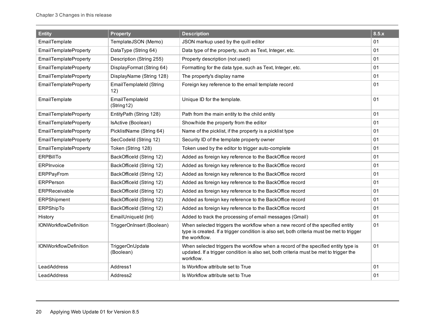| <b>Entity</b>                | <b>Property</b>                | <b>Description</b>                                                                                                                                                                          | 8.5.x |
|------------------------------|--------------------------------|---------------------------------------------------------------------------------------------------------------------------------------------------------------------------------------------|-------|
| EmailTemplate                | TemplateJSON (Memo)            | JSON markup used by the quill editor                                                                                                                                                        | 01    |
| <b>EmailTemplateProperty</b> | DataType (String 64)           | Data type of the property, such as Text, Integer, etc.                                                                                                                                      | 01    |
| <b>EmailTemplateProperty</b> | Description (String 255)       | Property description (not used)                                                                                                                                                             | 01    |
| <b>EmailTemplateProperty</b> | DisplayFormat (String 64)      | Formatting for the data type, such as Text, Integer, etc.                                                                                                                                   | 01    |
| <b>EmailTemplateProperty</b> | DisplayName (String 128)       | The property's display name                                                                                                                                                                 | 01    |
| <b>EmailTemplateProperty</b> | EmailTemplateId (String<br>12) | Foreign key reference to the email template record                                                                                                                                          | 01    |
| EmailTemplate                | EmailTemplateId<br>(String12)  | Unique ID for the template.                                                                                                                                                                 | 01    |
| <b>EmailTemplateProperty</b> | EntityPath (String 128)        | Path from the main entity to the child entity                                                                                                                                               | 01    |
| <b>EmailTemplateProperty</b> | IsActive (Boolean)             | Show/hide the property from the editor                                                                                                                                                      | 01    |
| <b>EmailTemplateProperty</b> | PicklistName (String 64)       | Name of the picklist, if the property is a picklist type                                                                                                                                    | 01    |
| <b>EmailTemplateProperty</b> | SecCodeld (String 12)          | Security ID of the template property owner                                                                                                                                                  | 01    |
| <b>EmailTemplateProperty</b> | Token (String 128)             | Token used by the editor to trigger auto-complete                                                                                                                                           | 01    |
| <b>ERPBillTo</b>             | BackOfficeld (String 12)       | Added as foreign key reference to the BackOffice record                                                                                                                                     | 01    |
| ERPInvoice                   | BackOfficeld (String 12)       | Added as foreign key reference to the BackOffice record                                                                                                                                     | 01    |
| <b>ERPPayFrom</b>            | BackOfficeld (String 12)       | Added as foreign key reference to the BackOffice record                                                                                                                                     | 01    |
| <b>ERPPerson</b>             | BackOfficeld (String 12)       | Added as foreign key reference to the BackOffice record                                                                                                                                     | 01    |
| ERPReceivable                | BackOfficeld (String 12)       | Added as foreign key reference to the BackOffice record                                                                                                                                     | 01    |
| <b>ERPShipment</b>           | BackOfficeld (String 12)       | Added as foreign key reference to the BackOffice record                                                                                                                                     | 01    |
| ERPShipTo                    | BackOfficeld (String 12)       | Added as foreign key reference to the BackOffice record                                                                                                                                     | 01    |
| History                      | EmailUniqueld (Int)            | Added to track the processing of email messages (Gmail)                                                                                                                                     | 01    |
| <b>IONWorkflowDefinition</b> | TriggerOnInsert (Boolean)      | When selected triggers the workflow when a new record of the specified entity<br>type is created. If a trigger condition is also set, both criteria must be met to trigger<br>the workflow. | 01    |
| <b>IONWorkflowDefinition</b> | TriggerOnUpdate<br>(Boolean)   | When selected triggers the workflow when a record of the specified entity type is<br>updated. If a trigger condition is also set, both criteria must be met to trigger the<br>workflow.     | 01    |
| LeadAddress                  | Address1                       | Is Workflow attribute set to True                                                                                                                                                           | 01    |
| LeadAddress                  | Address <sub>2</sub>           | Is Workflow attribute set to True                                                                                                                                                           | 01    |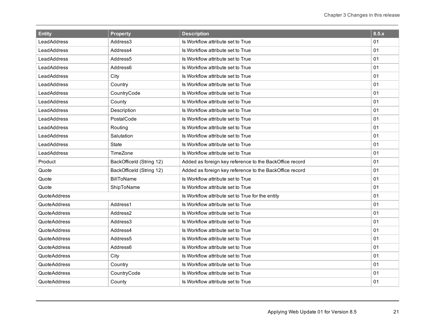| <b>Entity</b>       | <b>Property</b>          | <b>Description</b>                                      | 8.5.x |
|---------------------|--------------------------|---------------------------------------------------------|-------|
| LeadAddress         | Address3                 | Is Workflow attribute set to True                       | 01    |
| LeadAddress         | Address4                 | Is Workflow attribute set to True                       | 01    |
| LeadAddress         | Address <sub>5</sub>     | Is Workflow attribute set to True                       | 01    |
| LeadAddress         | Address6                 | Is Workflow attribute set to True                       | 01    |
| LeadAddress         | City                     | Is Workflow attribute set to True                       | 01    |
| LeadAddress         | Country                  | Is Workflow attribute set to True                       | 01    |
| LeadAddress         | CountryCode              | Is Workflow attribute set to True                       | 01    |
| LeadAddress         | County                   | Is Workflow attribute set to True                       | 01    |
| LeadAddress         | Description              | Is Workflow attribute set to True                       | 01    |
| LeadAddress         | PostalCode               | Is Workflow attribute set to True                       | 01    |
| LeadAddress         | Routing                  | Is Workflow attribute set to True                       | 01    |
| LeadAddress         | Salutation               | Is Workflow attribute set to True                       | 01    |
| LeadAddress         | State                    | Is Workflow attribute set to True                       | 01    |
| LeadAddress         | TimeZone                 | Is Workflow attribute set to True                       | 01    |
| Product             | BackOfficeld (String 12) | Added as foreign key reference to the BackOffice record | 01    |
| Quote               | BackOfficeld (String 12) | Added as foreign key reference to the BackOffice record | 01    |
| Quote               | <b>BillToName</b>        | Is Workflow attribute set to True                       | 01    |
| Quote               | ShipToName               | Is Workflow attribute set to True                       | 01    |
| <b>QuoteAddress</b> |                          | Is Workflow attribute set to True for the entity        | 01    |
| <b>QuoteAddress</b> | Address1                 | Is Workflow attribute set to True                       | 01    |
| <b>QuoteAddress</b> | Address2                 | Is Workflow attribute set to True                       | 01    |
| <b>QuoteAddress</b> | Address3                 | Is Workflow attribute set to True                       | 01    |
| <b>QuoteAddress</b> | Address4                 | Is Workflow attribute set to True                       | 01    |
| <b>QuoteAddress</b> | Address <sub>5</sub>     | Is Workflow attribute set to True                       | 01    |
| <b>QuoteAddress</b> | Address6                 | Is Workflow attribute set to True                       | 01    |
| QuoteAddress        | City                     | Is Workflow attribute set to True                       | 01    |
| QuoteAddress        | Country                  | Is Workflow attribute set to True                       | 01    |
| <b>QuoteAddress</b> | CountryCode              | Is Workflow attribute set to True                       | 01    |
| <b>QuoteAddress</b> | County                   | Is Workflow attribute set to True                       | 01    |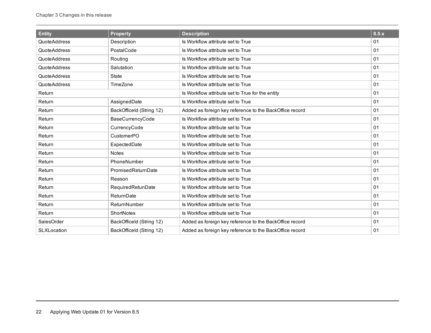| <b>Entity</b>       | <b>Property</b>          | <b>Description</b>                                      | 8.5.x |
|---------------------|--------------------------|---------------------------------------------------------|-------|
| <b>QuoteAddress</b> | Description              | Is Workflow attribute set to True                       | 01    |
| <b>QuoteAddress</b> | PostalCode               | Is Workflow attribute set to True                       | 01    |
| QuoteAddress        | Routing                  | Is Workflow attribute set to True                       | 01    |
| <b>QuoteAddress</b> | Salutation               | Is Workflow attribute set to True                       | 01    |
| QuoteAddress        | <b>State</b>             | Is Workflow attribute set to True                       | 01    |
| QuoteAddress        | TimeZone                 | Is Workflow attribute set to True                       | 01    |
| Return              |                          | Is Workflow attribute set to True for the entity        | 01    |
| Return              | AssignedDate             | Is Workflow attribute set to True                       | 01    |
| Return              | BackOfficeld (String 12) | Added as foreign key reference to the BackOffice record | 01    |
| Return              | BaseCurrencyCode         | Is Workflow attribute set to True                       | 01    |
| Return              | CurrencyCode             | Is Workflow attribute set to True                       | 01    |
| Return              | CustomerPO               | Is Workflow attribute set to True                       | 01    |
| Return              | ExpectedDate             | Is Workflow attribute set to True                       | 01    |
| Return              | <b>Notes</b>             | Is Workflow attribute set to True                       | 01    |
| Return              | PhoneNumber              | Is Workflow attribute set to True                       | 01    |
| Return              | PromisedReturnDate       | Is Workflow attribute set to True                       | 01    |
| Return              | Reason                   | Is Workflow attribute set to True                       | 01    |
| Return              | RequiredRetunDate        | Is Workflow attribute set to True                       | 01    |
| Return              | ReturnDate               | Is Workflow attribute set to True                       | 01    |
| Return              | ReturnNumber             | Is Workflow attribute set to True                       | 01    |
| Return              | ShortNotes               | Is Workflow attribute set to True                       | 01    |
| SalesOrder          | BackOfficeld (String 12) | Added as foreign key reference to the BackOffice record | 01    |
| <b>SLXLocation</b>  | BackOfficeld (String 12) | Added as foreign key reference to the BackOffice record | 01    |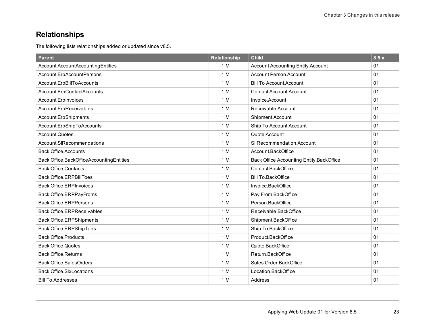## <span id="page-26-0"></span>**Relationships**

The following lists relationships added or updated since v8.5.

| <b>Parent</b>                            | <b>Relationship</b> | <b>Child</b>                             | 8.5.x |
|------------------------------------------|---------------------|------------------------------------------|-------|
| Account.AccountAccountingEntities        | 1: M                | <b>Account Accounting Entity Account</b> | 01    |
| Account.ErpAccountPersons                | 1: M                | <b>Account Person Account</b>            | 01    |
| Account.ErpBillToAccounts                | 1: M                | <b>Bill To Account Account</b>           | 01    |
| Account.ErpContactAccounts               | 1: M                | <b>Contact Account Account</b>           | 01    |
| Account.ErpInvoices                      | 1: M                | Invoice.Account                          | 01    |
| Account.ErpReceivables                   | 1: M                | Receivable.Account                       | 01    |
| Account.ErpShipments                     | 1: M                | Shipment.Account                         | 01    |
| Account.ErpShipToAccounts                | 1: M                | Ship To Account.Account                  | 01    |
| Account.Quotes.                          | 1: M                | Quote.Account                            | 01    |
| Account.SIRecommendations                | 1: M                | SI Recommendation Account                | 01    |
| <b>Back Office Accounts</b>              | 1: M                | Account.BackOffice                       | 01    |
| Back Office.BackOfficeAccountingEntities | 1: M                | Back Office Accounting Entity.BackOffice | 01    |
| <b>Back Office.Contacts</b>              | 1: M                | Contact.BackOffice                       | 01    |
| <b>Back Office.ERPBillToes</b>           | 1: M                | <b>Bill To.BackOffice</b>                | 01    |
| <b>Back Office.ERPInvoices</b>           | 1: M                | Invoice.BackOffice                       | 01    |
| Back Office.ERPPayFroms                  | 1: M                | Pay From.BackOffice                      | 01    |
| <b>Back Office.ERPPersons</b>            | 1: M                | Person.BackOffice                        | 01    |
| <b>Back Office.ERPReceivables</b>        | 1: M                | Receivable.BackOffice                    | 01    |
| <b>Back Office.ERPShipments</b>          | 1: M                | Shipment.BackOffice                      | 01    |
| Back Office.ERPShipToes                  | 1: M                | Ship To.BackOffice                       | 01    |
| <b>Back Office.Products</b>              | 1: M                | Product.BackOffice                       | 01    |
| <b>Back Office.Quotes</b>                | 1: M                | Quote.BackOffice                         | 01    |
| <b>Back Office.Returns</b>               | 1: M                | Return.BackOffice                        | 01    |
| <b>Back Office.SalesOrders</b>           | 1: M                | Sales Order.BackOffice                   | 01    |
| <b>Back Office.SIxLocations</b>          | 1: M                | Location.BackOffice                      | 01    |
| <b>Bill To.Addresses</b>                 | 1: M                | Address                                  | 01    |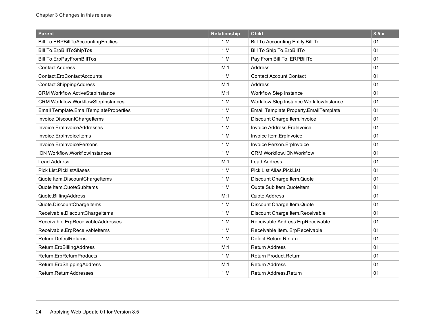| <b>Parent</b>                              | <b>Relationship</b> | <b>Child</b>                             | 8.5.x |
|--------------------------------------------|---------------------|------------------------------------------|-------|
| <b>Bill To.ERPBillToAccountingEntities</b> | 1: M                | Bill To Accounting Entity. Bill To       | 01    |
| <b>Bill To.ErpBillToShipTos</b>            | 1: M                | Bill To Ship To.ErpBillTo                | 01    |
| <b>Bill To.ErpPayFromBillTos</b>           | 1: M                | Pay From Bill To. ERPBillTo              | 01    |
| Contact.Address                            | M:1                 | Address                                  | 01    |
| Contact.ErpContactAccounts                 | 1: M                | <b>Contact Account Contact</b>           | 01    |
| Contact.ShippingAddress                    | M:1                 | Address                                  | 01    |
| <b>CRM Workflow.ActiveStepInstance</b>     | M:1                 | <b>Workflow Step Instance</b>            | 01    |
| <b>CRM Workflow.WorkflowStepInstances</b>  | 1: M                | Workflow Step Instance. WorkflowInstance | 01    |
| Email Template.EmailTemplateProperties     | 1: M                | Email Template Property.EmailTemplate    | 01    |
| Invoice.DiscountChargeItems                | 1: M                | Discount Charge Item.Invoice             | 01    |
| Invoice.ErpInvoiceAddresses                | 1: M                | Invoice Address. Erplnvoice              | 01    |
| Invoice.ErpInvoiceItems                    | 1: M                | Invoice Item.ErpInvoice                  | 01    |
| Invoice.ErpInvoicePersons                  | 1: M                | Invoice Person.ErpInvoice                | 01    |
| ION Workflow.WorkflowInstances             | 1: M                | <b>CRM Workflow.IONWorkflow</b>          | 01    |
| Lead.Address                               | M:1                 | <b>Lead Address</b>                      | 01    |
| Pick List.PicklistAliases                  | 1: M                | <b>Pick List Alias.PickList</b>          | 01    |
| Quote Item.DiscountChargeItems             | 1: M                | Discount Charge Item.Quote               | 01    |
| Quote Item.QuoteSubItems                   | 1: M                | Quote Sub Item.QuoteItem                 | 01    |
| Quote.BillingAddress                       | M:1                 | Quote Address                            | 01    |
| Quote.DiscountChargeItems                  | 1: M                | Discount Charge Item.Quote               | 01    |
| Receivable.DiscountChargeItems             | 1: M                | Discount Charge Item.Receivable          | 01    |
| Receivable.ErpReceivableAddresses          | 1: M                | Receivable Address.ErpReceivable         | 01    |
| Receivable.ErpReceivableItems              | 1: M                | Receivable Item. ErpReceivable           | 01    |
| Return.DefectReturns                       | 1: M                | Defect Return.Return                     | 01    |
| Return.ErpBillingAddress                   | M:1                 | <b>Return Address</b>                    | 01    |
| Return.ErpReturnProducts                   | 1: M                | Return Product.Return                    | 01    |
| Return.ErpShippingAddress                  | M:1                 | <b>Return Address</b>                    | 01    |
| Return.ReturnAddresses                     | 1: M                | Return Address.Return                    | 01    |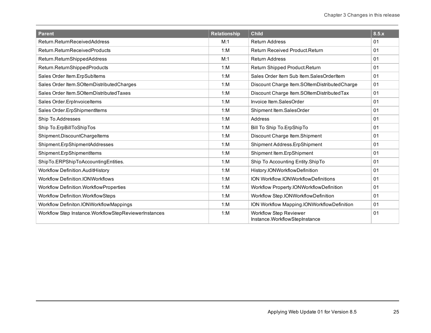| <b>Parent</b>                                           | <b>Relationship</b> | <b>Child</b>                                                   | 8.5.x |
|---------------------------------------------------------|---------------------|----------------------------------------------------------------|-------|
| Return.ReturnReceivedAddress                            | M:1                 | <b>Return Address</b>                                          | 01    |
| Return.ReturnReceivedProducts                           | 1: M                | <b>Return Received Product.Return</b>                          | 01    |
| Return.ReturnShippedAddress                             | M:1                 | <b>Return Address</b>                                          | 01    |
| Return.ReturnShippedProducts                            | 1: M                | Return Shipped Product.Return                                  | 01    |
| Sales Order Item.ErpSubItems                            | 1: M                | Sales Order Item Sub Item.SalesOrderItem                       | 01    |
| Sales Order Item.SOItemDistributedCharges               | 1: M                | Discount Charge Item.SOItemDistributedCharge                   | 01    |
| Sales Order Item.SOItemDistributedTaxes                 | 1: M                | Discount Charge Item.SOItemDistributedTax                      | 01    |
| Sales Order.ErpInvoiceItems                             | 1: M                | Invoice Item.SalesOrder                                        | 01    |
| Sales Order.ErpShipmentItems                            | 1: M                | Shipment Item.SalesOrder                                       | 01    |
| Ship To.Addresses                                       | 1: M                | Address                                                        | 01    |
| Ship To.ErpBillToShipTos                                | 1: M                | Bill To Ship To.ErpShipTo                                      | 01    |
| Shipment.DiscountChargeItems                            | 1: M                | Discount Charge Item.Shipment                                  | 01    |
| Shipment.ErpShipmentAddresses                           | 1: M                | Shipment Address.ErpShipment                                   | 01    |
| Shipment.ErpShipmentItems                               | 1: M                | Shipment Item.ErpShipment                                      | 01    |
| ShipTo.ERPShipToAccountingEntities.                     | 1: M                | Ship To Accounting Entity.ShipTo                               | 01    |
| Workflow Definition.AuditHistory                        | 1: M                | History.IONWorkflowDefinition                                  | 01    |
| <b>Workflow Definition.IONWorkflows</b>                 | 1: M                | ION Workflow.IONWorkflowDefinitions                            | 01    |
| <b>Workflow Definition.WorkflowProperties</b>           | 1: M                | Workflow Property.IONWorkflowDefinition                        | 01    |
| Workflow Definition. Workflow Steps                     | 1: M                | Workflow Step.IONWorkflowDefinition                            | 01    |
| Workflow Definiton.IONWorkflowMappings                  | 1: M                | ION Workflow Mapping.IONWorkflowDefinition                     | 01    |
| Workflow Step Instance. Workflow Step ReviewerInstances | 1: M                | <b>Workflow Step Reviewer</b><br>Instance.WorkflowStepInstance | 01    |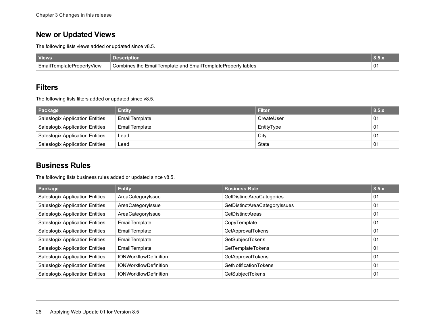### <span id="page-29-0"></span>**New or Updated Views**

The following lists views added or updated since v8.5.

| <b>Views</b>              | Description                                                 |  |
|---------------------------|-------------------------------------------------------------|--|
| EmailTemplatePropertyView | Combines the EmailTemplate and EmailTemplateProperty tables |  |

#### <span id="page-29-1"></span>**Filters**

The following lists filters added or updated since v8.5.

| Package                                | <b>Entity</b> | Filter     | 8.5.x |
|----------------------------------------|---------------|------------|-------|
| <b>Saleslogix Application Entities</b> | EmailTemplate | CreateUser | 01    |
| <b>Saleslogix Application Entities</b> | EmailTemplate | EntityType | 01    |
| <b>Saleslogix Application Entities</b> | Lead          | City       | 01    |
| <b>Saleslogix Application Entities</b> | Lead          | State      | 01    |

#### <span id="page-29-2"></span>**Business Rules**

The following lists business rules added or updated since v8.5.

| Package                                | <b>Entity</b>                | <b>Business Rule</b>             | 8.5.x          |
|----------------------------------------|------------------------------|----------------------------------|----------------|
| <b>Saleslogix Application Entities</b> | AreaCategoryIssue            | <b>GetDistinctAreaCategories</b> | 01             |
| <b>Saleslogix Application Entities</b> | AreaCategoryIssue            | GetDistinctAreaCategoryIssues    | 01             |
| <b>Saleslogix Application Entities</b> | AreaCategoryIssue            | <b>GetDistinctAreas</b>          | 01             |
| <b>Saleslogix Application Entities</b> | EmailTemplate                | CopyTemplate                     | 01             |
| <b>Saleslogix Application Entities</b> | EmailTemplate                | GetApprovalTokens                | 01             |
| <b>Saleslogix Application Entities</b> | EmailTemplate                | GetSubjectTokens                 | 01             |
| <b>Saleslogix Application Entities</b> | EmailTemplate                | GetTemplateTokens                | 0 <sub>1</sub> |
| <b>Saleslogix Application Entities</b> | <b>IONWorkflowDefinition</b> | GetApprovalTokens                | 01             |
| <b>Saleslogix Application Entities</b> | <b>IONWorkflowDefinition</b> | GetNotificationTokens            | 0 <sub>1</sub> |
| <b>Saleslogix Application Entities</b> | <b>IONWorkflowDefinition</b> | GetSubjectTokens                 | 01             |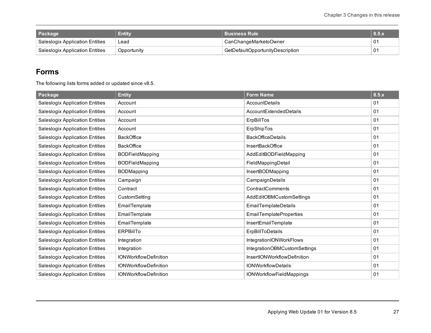| Package                           | Entity      | <b>Business Rule</b>             | $\blacksquare$ 8.5. $\lambda$ |
|-----------------------------------|-------------|----------------------------------|-------------------------------|
| └ Saleslogix Application Entities | Lead        | CanChangeMarketoOwner            | 0 <sup>1</sup>                |
| Saleslogix Application Entities   | Opportunity | GetDefaultOpportunityDescription | 0 <sub>1</sub>                |

#### <span id="page-30-0"></span>**Forms**

The following lists forms added or updated since v8.5.

| Package                                | <b>Entity</b>                | <b>Form Name</b>                | 8.5.x |
|----------------------------------------|------------------------------|---------------------------------|-------|
| <b>Saleslogix Application Entities</b> | Account                      | AccountDetails                  | 01    |
| <b>Saleslogix Application Entities</b> | Account                      | AccountExtendedDetails          | 01    |
| <b>Saleslogix Application Entities</b> | Account                      | ErpBillTos                      | 01    |
| <b>Saleslogix Application Entities</b> | Account                      | ErpShipTos                      | 01    |
| <b>Saleslogix Application Entities</b> | <b>BackOffice</b>            | <b>BackOfficeDetails</b>        | 01    |
| <b>Saleslogix Application Entities</b> | <b>BackOffice</b>            | <b>InsertBackOffice</b>         | 01    |
| <b>Saleslogix Application Entities</b> | <b>BODFieldMapping</b>       | AddEditBODFieldMapping          | 01    |
| <b>Saleslogix Application Entities</b> | <b>BODFieldMapping</b>       | FieldMappingDetail              | 01    |
| <b>Saleslogix Application Entities</b> | <b>BODMapping</b>            | InsertBODMapping                | 01    |
| <b>Saleslogix Application Entities</b> | Campaign                     | CampaignDetails                 | 01    |
| <b>Saleslogix Application Entities</b> | Contract                     | ContractComments                | 01    |
| <b>Saleslogix Application Entities</b> | CustomSetting                | AddEditOBMCustomSettings        | 01    |
| <b>Saleslogix Application Entities</b> | EmailTemplate                | <b>EmailTemplateDetails</b>     | 01    |
| <b>Saleslogix Application Entities</b> | EmailTemplate                | <b>EmailTemplateProperties</b>  | 01    |
| <b>Saleslogix Application Entities</b> | EmailTemplate                | InsertEmailTemplate             | 01    |
| <b>Saleslogix Application Entities</b> | <b>ERPBillTo</b>             | ErpBillToDetails                | 01    |
| <b>Saleslogix Application Entities</b> | Integration                  | IntegrationIONWorkFlows         | 01    |
| <b>Saleslogix Application Entities</b> | Integration                  | IntegrationOBMCustomSettings    | 01    |
| <b>Saleslogix Application Entities</b> | <b>IONWorkflowDefinition</b> | InsertIONWorkflowDefinition     | 01    |
| <b>Saleslogix Application Entities</b> | <b>IONWorkflowDefinition</b> | <b>IONWorkflowDetails</b>       | 01    |
| <b>Saleslogix Application Entities</b> | <b>IONWorkflowDefinition</b> | <b>IONWorkflowFieldMappings</b> | 01    |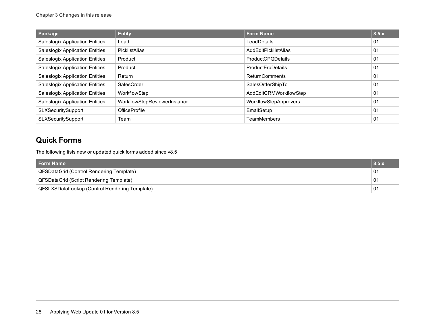| Package                                | <b>Entity</b>                | <b>Form Name</b>         | 8.5.x          |
|----------------------------------------|------------------------------|--------------------------|----------------|
| <b>Saleslogix Application Entities</b> | Lead                         | LeadDetails              | 01             |
| <b>Saleslogix Application Entities</b> | PicklistAlias                | AddEditPicklistAlias     | 01             |
| <b>Saleslogix Application Entities</b> | Product                      | <b>ProductCPQDetails</b> | 01             |
| <b>Saleslogix Application Entities</b> | Product                      | ProductErpDetails        | 01             |
| <b>Saleslogix Application Entities</b> | Return                       | <b>ReturnComments</b>    | 0 <sub>1</sub> |
| <b>Saleslogix Application Entities</b> | SalesOrder                   | SalesOrderShipTo         | 01             |
| <b>Saleslogix Application Entities</b> | WorkflowStep                 | AddEditCRMWorkflowStep   | 01             |
| <b>Saleslogix Application Entities</b> | WorkflowStepReviewerInstance | WorkflowStepApprovers    | 01             |
| SLXSecuritySupport                     | <b>OfficeProfile</b>         | EmailSetup               | 01             |
| SLXSecuritySupport                     | Team                         | <b>TeamMembers</b>       | 01             |

### <span id="page-31-0"></span>**Quick Forms**

The following lists new or updated quick forms added since v8.5

| Form Name                                     | 8.5. |
|-----------------------------------------------|------|
| QFSDataGrid (Control Rendering Template)      | 01   |
| QFSDataGrid (Script Rendering Template)<br>01 |      |
| QFSLXSDataLookup (Control Rendering Template) | 01   |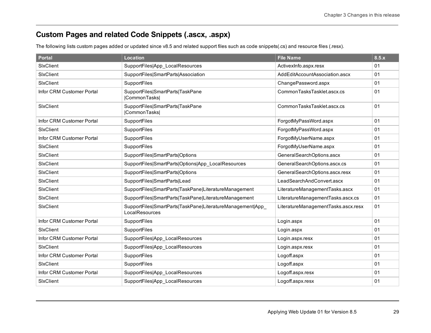## <span id="page-32-0"></span>**Custom Pages and related Code Snippets (.ascx, .aspx)**

The following lists custom pages added or updated since v8.5 and related support files such as code snippets(.cs) and resource files (.resx).

| <b>Portal</b>             | <b>Location</b>                                                              | <b>File Name</b>                    | 8.5.x |
|---------------------------|------------------------------------------------------------------------------|-------------------------------------|-------|
| SixClient                 | SupportFiles App_LocalResources                                              | ActivexInfo.aspx.resx               | 01    |
| SixClient                 | SupportFiles SmartParts Association                                          | AddEditAccountAssociation.ascx      | 01    |
| SixClient                 | SupportFiles                                                                 | ChangePassword.aspx                 | 01    |
| Infor CRM Customer Portal | SupportFiles SmartParts TaskPane<br> CommonTasks                             | CommonTasksTasklet.ascx.cs          | 01    |
| SixClient                 | SupportFiles SmartParts TaskPane<br> CommonTasks                             | CommonTasksTasklet.ascx.cs          | 01    |
| Infor CRM Customer Portal | SupportFiles                                                                 | ForgotMyPassWord.aspx               | 01    |
| SixClient                 | SupportFiles                                                                 | ForgotMyPassWord.aspx               | 01    |
| Infor CRM Customer Portal | SupportFiles                                                                 | ForgotMyUserName.aspx               | 01    |
| SixClient                 | SupportFiles                                                                 | ForgotMyUserName.aspx               | 01    |
| SixClient                 | SupportFiles SmartParts Options                                              | GeneralSearchOptions.ascx           | 01    |
| SixClient                 | SupportFiles SmartParts Options App_LocalResources                           | GeneralSearchOptions.ascx.cs        | 01    |
| SixClient                 | SupportFiles SmartParts Options                                              | GeneralSearchOptions.ascx.resx      | 01    |
| SixClient                 | SupportFiles SmartParts Lead                                                 | LeadSearchAndConvert.ascx           | 01    |
| SixClient                 | SupportFiles SmartParts TaskPane LiteratureManagement                        | LiteratureManagementTasks.ascx      | 01    |
| SixClient                 | SupportFiles SmartParts TaskPane LiteratureManagement                        | LiteratureManagementTasks.ascx.cs   | 01    |
| SixClient                 | SupportFiles SmartParts TaskPane LiteratureManagement App_<br>LocalResources | LiteratureManagementTasks.ascx.resx | 01    |
| Infor CRM Customer Portal | SupportFiles                                                                 | Login.aspx                          | 01    |
| SixClient                 | SupportFiles                                                                 | Login.aspx                          | 01    |
| Infor CRM Customer Portal | SupportFiles App_LocalResources                                              | Login.aspx.resx                     | 01    |
| SixClient                 | SupportFiles App_LocalResources                                              | Login.aspx.resx                     | 01    |
| Infor CRM Customer Portal | SupportFiles                                                                 | Logoff.aspx                         | 01    |
| SixClient                 | SupportFiles                                                                 | Logoff.aspx                         | 01    |
| Infor CRM Customer Portal | SupportFiles App_LocalResources                                              | Logoff.aspx.resx                    | 01    |
| SixClient                 | SupportFiles App LocalResources                                              | Logoff.aspx.resx                    | 01    |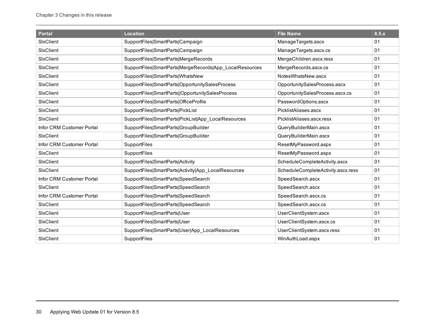| <b>Portal</b>             | <b>Location</b>                                         | <b>File Name</b>                   | 8.5.x |
|---------------------------|---------------------------------------------------------|------------------------------------|-------|
| SixClient                 | SupportFiles SmartParts Campaign                        | ManageTargets.ascx                 | 01    |
| SixClient                 | SupportFiles SmartParts Campaign                        | ManageTargets.ascx.cs              | 01    |
| SixClient                 | SupportFiles SmartParts MergeRecords                    | MergeChildren.ascx.resx            | 01    |
| SixClient                 | SupportFiles SmartParts MergeRecords App LocalResources | MergeRecords.ascx.cs               | 01    |
| SixClient                 | SupportFiles SmartParts WhatsNew                        | NotesWhatsNew.ascx                 | 01    |
| SixClient                 | SupportFiles SmartParts OpportunitySalesProcess         | OpportunitySalesProcess.ascx       | 01    |
| SixClient                 | SupportFiles SmartParts  OpportunitySalesProcess        | OpportunitySalesProcess.ascx.cs    | 01    |
| SixClient                 | SupportFiles SmartParts OfficeProfile                   | PasswordOptions.ascx               | 01    |
| SixClient                 | SupportFiles SmartParts PickList                        | PicklistAliases.ascx               | 01    |
| SixClient                 | SupportFiles SmartParts PickList App LocalResources     | PicklistAliases.ascx.resx          | 01    |
| Infor CRM Customer Portal | SupportFiles SmartParts GroupBuilder                    | QueryBuilderMain.ascx              | 01    |
| SixClient                 | SupportFiles SmartParts GroupBuilder                    | QueryBuilderMain.ascx              | 01    |
| Infor CRM Customer Portal | SupportFiles                                            | ResetMyPassword.aspx               | 01    |
| SixClient                 | <b>SupportFiles</b>                                     | ResetMyPassword.aspx               | 01    |
| SixClient                 | SupportFiles SmartParts Activity                        | ScheduleCompleteActivity.ascx      | 01    |
| SixClient                 | SupportFiles SmartParts Activity App_LocalResources     | ScheduleCompleteActivity.ascx.resx | 01    |
| Infor CRM Customer Portal | SupportFiles SmartParts SpeedSearch                     | SpeedSearch.ascx                   | 01    |
| SixClient                 | SupportFiles SmartParts SpeedSearch                     | SpeedSearch.ascx                   | 01    |
| Infor CRM Customer Portal | SupportFiles SmartParts SpeedSearch                     | SpeedSearch.ascx.cs                | 01    |
| SixClient                 | SupportFiles SmartParts SpeedSearch                     | SpeedSearch.ascx.cs                | 01    |
| SixClient                 | SupportFiles SmartParts User                            | UserClientSystem.ascx              | 01    |
| SixClient                 | SupportFiles SmartParts User                            | UserClientSystem.ascx.cs           | 01    |
| SixClient                 | SupportFiles SmartParts User App_LocalResources         | UserClientSystem.ascx.resx         | 01    |
| SixClient                 | SupportFiles                                            | WinAuthLoad.aspx                   | 01    |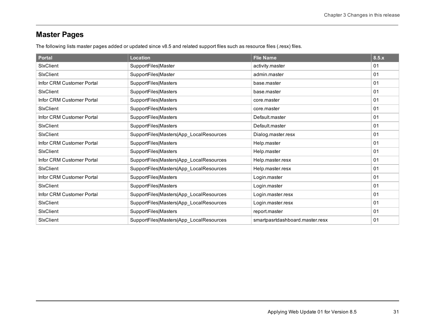## <span id="page-34-0"></span>**Master Pages**

The following lists master pages added or updated since v8.5 and related support files such as resource files (.resx) files.

| <b>Portal</b>             | Location                                | <b>Flie Name</b>                | 8.5.x |
|---------------------------|-----------------------------------------|---------------------------------|-------|
| SixClient                 | SupportFiles Master                     | activity.master                 | 01    |
| SixClient                 | SupportFiles Master                     | admin.master                    | 01    |
| Infor CRM Customer Portal | SupportFiles Masters                    | base.master                     | 01    |
| SixClient                 | SupportFiles Masters                    | base.master                     | 01    |
| Infor CRM Customer Portal | SupportFiles Masters                    | core.master                     | 01    |
| SixClient                 | SupportFiles Masters                    | core.master                     | 01    |
| Infor CRM Customer Portal | SupportFiles Masters                    | Default master                  | 01    |
| SixClient                 | SupportFiles Masters                    | Default master                  | 01    |
| SixClient                 | SupportFiles Masters App_LocalResources | Dialog.master.resx              | 01    |
| Infor CRM Customer Portal | SupportFiles Masters                    | Help.master                     | 01    |
| SixClient                 | SupportFiles Masters                    | Help.master                     | 01    |
| Infor CRM Customer Portal | SupportFiles Masters App_LocalResources | Help.master.resx                | 01    |
| SixClient                 | SupportFiles Masters App_LocalResources | Help.master.resx                | 01    |
| Infor CRM Customer Portal | SupportFiles Masters                    | Login.master                    | 01    |
| SixClient                 | SupportFiles Masters                    | Login.master                    | 01    |
| Infor CRM Customer Portal | SupportFiles Masters App_LocalResources | Login.master.resx               | 01    |
| SixClient                 | SupportFiles Masters App_LocalResources | Login.master.resx               | 01    |
| SixClient                 | SupportFiles Masters                    | report.master                   | 01    |
| SixClient                 | SupportFiles Masters App_LocalResources | smartpasrtdashboard.master.resx | 01    |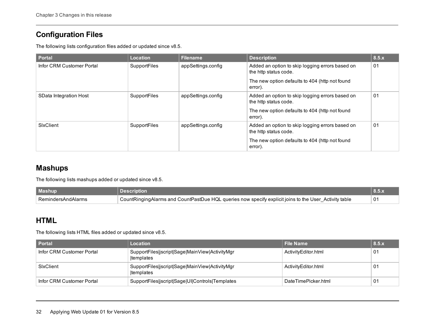### <span id="page-35-0"></span>**Configuration Files**

The following lists configuration files added or updated since v8.5.

| <b>Portal</b>             | <b>Location</b> | <b>Filename</b>    | <b>Description</b>                                                       | 8.5.x |
|---------------------------|-----------------|--------------------|--------------------------------------------------------------------------|-------|
| Infor CRM Customer Portal | SupportFiles    | appSettings.config | Added an option to skip logging errors based on<br>the http status code. | 01    |
|                           |                 |                    | The new option defaults to 404 (http not found<br>error).                |       |
| SData Integration Host    | SupportFiles    | appSettings.config | Added an option to skip logging errors based on<br>the http status code. | 01    |
|                           |                 |                    | The new option defaults to 404 (http not found<br>error).                |       |
| SixClient                 | SupportFiles    | appSettings.config | Added an option to skip logging errors based on<br>the http status code. | 01    |
|                           |                 |                    | The new option defaults to 404 (http not found<br>error).                |       |

### <span id="page-35-1"></span>**Mashups**

The following lists mashups added or updated since v8.5.

| Mashup               |                                                                                                       |    |
|----------------------|-------------------------------------------------------------------------------------------------------|----|
| ' RemindersAndAlarms | CountRingingAlarms and CountPastDue HQL queries now specify explicit joins to the User Activity table | 01 |

#### <span id="page-35-2"></span>**HTML**

The following lists HTML files added or updated since v8.5.

| <b>Portal</b>             | Location                                                           | <b>File Name</b>    | 8.5.x          |
|---------------------------|--------------------------------------------------------------------|---------------------|----------------|
| Infor CRM Customer Portal | SupportFiles jscript Sage MainView ActivityMgr<br><b>templates</b> | ActivityEditor.html | 01             |
| SixClient                 | SupportFiles jscript Sage MainView ActivityMgr<br>Itemplates       | ActivityEditor.html | 0 <sub>1</sub> |
| Infor CRM Customer Portal | SupportFiles jscript Sage UI Controls Templates                    | DateTimePicker.html | 0 <sub>1</sub> |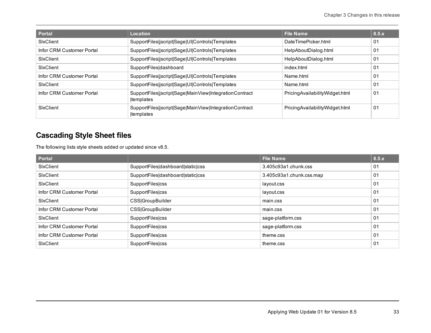| <b>Portal</b>             | <b>Location</b>                                                             | <b>File Name</b>               | 8.5.x |
|---------------------------|-----------------------------------------------------------------------------|--------------------------------|-------|
| SixClient                 | SupportFiles jscript Sage UI Controls Templates                             | DateTimePicker.html            | 01    |
| Infor CRM Customer Portal | SupportFiles jscript Sage UI Controls Templates                             | HelpAboutDialog.html           | 01    |
| SixClient                 | SupportFiles jscript Sage UI Controls Templates                             | HelpAboutDialog.html           | 01    |
| SixClient                 | SupportFiles dashboard                                                      | index.html                     | 01    |
| Infor CRM Customer Portal | SupportFiles jscript Sage UI Controls Templates                             | Name.html                      | 01    |
| SixClient                 | SupportFiles jscript Sage UI Controls Templates                             | Name.html                      | 01    |
| Infor CRM Customer Portal | SupportFiles jscript Sage MainView IntegrationContract<br><b>templates</b>  | PricingAvailabilityWidget.html | 01    |
| SixClient                 | SupportFiles jscript Sage MainView IntegrationContract<br><b>Itemplates</b> | PricingAvailabilityWidget.html | 01    |

### <span id="page-36-0"></span>**Cascading Style Sheet files**

The following lists style sheets added or updated since v8.5.

| <b>Portal</b>             |                                   | <b>Flie Name</b>         | 8.5.x |
|---------------------------|-----------------------------------|--------------------------|-------|
| <b>SixClient</b>          | SupportFiles dashboard static css | 3.405c93a1.chunk.css     | 01    |
| <b>SixClient</b>          | SupportFiles dashboard static css | 3.405c93a1.chunk.css.map | 01    |
| SixClient                 | SupportFiles css                  | layout.css               | 01    |
| Infor CRM Customer Portal | SupportFiles css                  | layout.css               | 01    |
| <b>SixClient</b>          | <b>CSS</b>  GroupBuilder          | main.css                 | 01    |
| Infor CRM Customer Portal | <b>CSS</b>  GroupBuilder          | main.css                 | 01    |
| <b>SixClient</b>          | SupportFiles css                  | sage-platform.css        | 01    |
| Infor CRM Customer Portal | SupportFiles css                  | sage-platform.css        | 01    |
| Infor CRM Customer Portal | SupportFiles css                  | theme.css                | 01    |
| SixClient                 | <b>SupportFiles css</b>           | theme.css                | 01    |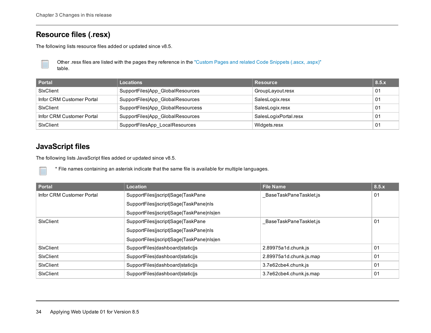#### <span id="page-37-0"></span>**Resource files (.resx)**

The following lists resource files added or updated since v8.5.

Other .resx files are listed with the pages they reference in the "Custom Pages and related Code [Snippets](#page-32-0) (.ascx, .aspx)" table.

| Portal                    | <b>Locations</b>                  | <b>Resource</b>       | 8.5.x |
|---------------------------|-----------------------------------|-----------------------|-------|
| SixClient                 | SupportFiles App GlobalResources  | GroupLayout.resx      | 01    |
| Infor CRM Customer Portal | SupportFiles App_GlobalResources  | SalesLogix.resx       | 01    |
| SixClient                 | SupportFiles App GlobalResourcess | SalesLogix.resx       | 01    |
| Infor CRM Customer Portal | SupportFiles App_GlobalResources  | SalesLogixPortal.resx | 01    |
| SixClient                 | SupportFilesApp LocalResources    | Widgets.resx          | 01    |

#### <span id="page-37-1"></span>**JavaScript files**

The following lists JavaScript files added or updated since v8.5.

\* File names containing an asterisk indicate that the same file is available for multiple languages.

| <b>Portal</b>             | Location                                  | <b>File Name</b>        | 8.5.x |
|---------------------------|-------------------------------------------|-------------------------|-------|
| Infor CRM Customer Portal | SupportFiles jscript Sage TaskPane        | BaseTaskPaneTasklet.js  | 01    |
|                           | SupportFiles jscript Sage TaskPane nls    |                         |       |
|                           | SupportFiles jscript Sage TaskPane nls en |                         |       |
| SixClient                 | SupportFiles jscript Sage TaskPane        | BaseTaskPaneTasklet.js  | 01    |
|                           | SupportFiles jscript Sage TaskPane nls    |                         |       |
|                           | SupportFiles jscript Sage TaskPane nls en |                         |       |
| <b>SixClient</b>          | SupportFiles dashboard static js          | 2.89975a1d.chunk.js     | 01    |
| SixClient                 | SupportFiles dashboard static is          | 2.89975a1d.chunk.js.map | 01    |
| SixClient                 | SupportFiles dashboard static js          | 3.7e62cbe4.chunk.js     | 01    |
| <b>SixClient</b>          | SupportFiles dashboard static is          | 3.7e62cbe4.chunk.js.map | 01    |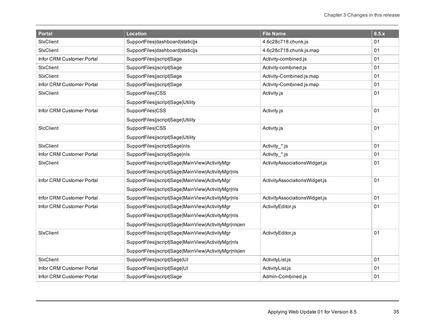| <b>Portal</b>             | <b>Location</b>                                       | <b>File Name</b>              | 8.5.x |
|---------------------------|-------------------------------------------------------|-------------------------------|-------|
| SixClient                 | SupportFiles dashboard static js                      | 4.6c28c718.chunk.js           | 01    |
| SixClient                 | SupportFiles dashboard static js                      | 4.6c28c718.chunk.js.map       | 01    |
| Infor CRM Customer Portal | SupportFiles jscript Sage                             | Activity-combined.js          | 01    |
| SixClient                 | SupportFiles jscript Sage                             | Activity-combined.js          | 01    |
| SixClient                 | SupportFiles jscript Sage                             | Activity-Combined.js.map      | 01    |
| Infor CRM Customer Portal | SupportFiles jscript Sage                             | Activity-Combined.js.map      | 01    |
| SixClient                 | SupportFiles CSS                                      | Activity.js                   | 01    |
|                           | SupportFiles jscript Sage Utility                     |                               |       |
| Infor CRM Customer Portal | SupportFiles CSS                                      | Activity.js                   | 01    |
|                           | SupportFiles jscript Sage Utility                     |                               |       |
| SicClient                 | SupportFiles CSS                                      | Activity.js                   | 01    |
|                           | SupportFiles jscript Sage Utility                     |                               |       |
| <b>SIxClient</b>          | SupportFiles jscript Sage nls                         | Activity_*.js                 | 01    |
| Infor CRM Customer Portal | SupportFiles jscript Sage nls                         | Activity_*.js                 | 01    |
| SixClient                 | SupportFiles jscript Sage MainView ActivityMgr        | ActivityAssociationsWidget.js | 01    |
|                           | SupportFiles jscript Sage MainView ActivityMgr nls    |                               |       |
| Infor CRM Customer Portal | SupportFiles jscript Sage MainView ActivityMgr        | ActivityAssociationsWidget.js | 01    |
|                           | SupportFiles jscript Sage MainView ActivityMgr nls    |                               |       |
| Infor CRM Customer Portal | SupportFiles jscript Sage MainView ActivityMgr nls    | ActivityAssociationsWidget.js | 01    |
| Infor CRM Customer Portal | SupportFiles jscript Sage MainView ActivityMgr        | ActivityEditor.js             | 01    |
|                           | SupportFiles jscript Sage MainView ActivityMgr nls    |                               |       |
|                           | SupportFiles jscript Sage MainView ActivityMgr nls en |                               |       |
| SixClient                 | SupportFiles jscript Sage MainView ActivityMgr        | ActivityEditor.js             | 01    |
|                           | SupportFiles jscript Sage MainView ActivityMgr nls    |                               |       |
|                           | SupportFiles jscript Sage MainView ActivityMgr nls en |                               |       |
| SixClient                 | SupportFiles jscript Sage UI                          | ActivityList.js               | 01    |
| Infor CRM Customer Portal | SupportFiles jscript Sage UI                          | ActivityList.js               | 01    |
| Infor CRM Customer Portal | SupportFiles jscript Sage                             | Admin-Combined.js             | 01    |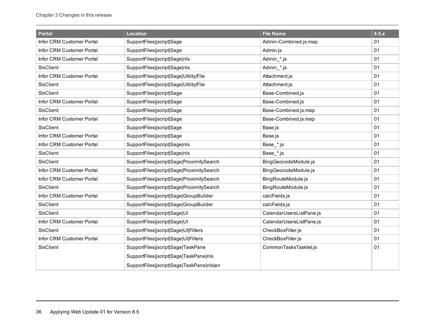| <b>Portal</b>             | <b>Location</b>                           | <b>File Name</b>         | 8.5.x |
|---------------------------|-------------------------------------------|--------------------------|-------|
| Infor CRM Customer Portal | SupportFiles jscript Sage                 | Admin-Combined.js.map    | 01    |
| Infor CRM Customer Portal | SupportFiles jscript Sage                 | Admin.js                 | 01    |
| Infor CRM Customer Portal | SupportFiles jscript Sage nls             | Admin_*.js               | 01    |
| SixClient                 | SupportFiles jscript Sage nls             | Admin_*.js               | 01    |
| Infor CRM Customer Portal | SupportFiles jscript Sage Utility File    | Attachment.js            | 01    |
| SixClient                 | SupportFiles jscript Sage Utility File    | Attachment.js            | 01    |
| SixClient                 | SupportFiles jscript Sage                 | Base-Combined.js         | 01    |
| Infor CRM Customer Portal | SupportFiles jscript Sage                 | Base-Combined.js         | 01    |
| SixClient                 | SupportFiles jscript Sage                 | Base-Combined.js.map     | 01    |
| Infor CRM Customer Portal | SupportFiles jscript Sage                 | Base-Combined.js.map     | 01    |
| SixClient                 | SupportFiles jscript Sage                 | Base.js                  | 01    |
| Infor CRM Customer Portal | SupportFiles jscript Sage                 | Base.js                  | 01    |
| Infor CRM Customer Portal | SupportFiles jscript Sage nls             | Base_*.js                | 01    |
| SixClient                 | SupportFiles jscript Sage nls             | Base_*.js                | 01    |
| SixClient                 | SupportFiles jscript Sage ProximitySearch | BingGeocodeModule.js     | 01    |
| Infor CRM Customer Portal | SupportFiles jscript Sage ProximitySearch | BingGeocodeModule.js     | 01    |
| Infor CRM Customer Portal | SupportFiles jscript Sage ProximitySearch | BingRouteModule.js       | 01    |
| SixClient                 | SupportFiles jscript Sage ProximitySearch | BingRouteModule.js       | 01    |
| Infor CRM Customer Portal | SupportFiles jscript Sage GroupBuilder    | calcFields.js            | 01    |
| SixClient                 | SupportFiles jscript Sage GroupBuilder    | calcFields.js            | 01    |
| SixClient                 | SupportFiles jscript Sage UI              | CalendarUsersListPane.js | 01    |
| Infor CRM Customer Portal | SupportFiles jscript Sage UI              | CalendarUsersListPane.js | 01    |
| SixClient                 | SupportFiles jscript Sage UI Filters      | CheckBoxFilter.js        | 01    |
| Infor CRM Customer Portal | SupportFiles jscript Sage UI Filters      | CheckBoxFilter.js        | 01    |
| SixClient                 | SupportFiles jscript Sage TaskPane        | CommonTasksTasklet.js    | 01    |
|                           | SupportFiles jscript Sage TaskPane nls    |                          |       |
|                           | SupportFiles jscript Sage TaskPane nls en |                          |       |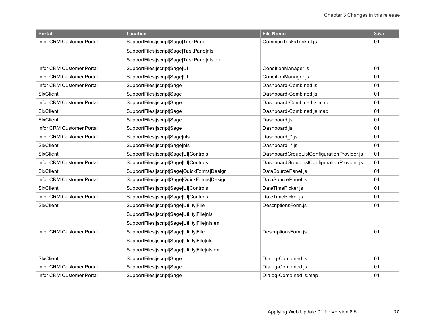| <b>Portal</b>             | <b>Location</b>                               | <b>File Name</b>                           | 8.5.x |
|---------------------------|-----------------------------------------------|--------------------------------------------|-------|
| Infor CRM Customer Portal | SupportFiles jscript Sage TaskPane            | CommonTasksTasklet.js                      | 01    |
|                           | SupportFiles jscript Sage TaskPane nls        |                                            |       |
|                           | SupportFiles jscript Sage TaskPane nls en     |                                            |       |
| Infor CRM Customer Portal | SupportFiles jscript Sage UI                  | ConditionManager.js                        | 01    |
| Infor CRM Customer Portal | SupportFiles jscript Sage UI                  | ConditionManager.js                        | 01    |
| Infor CRM Customer Portal | SupportFiles jscript Sage                     | Dashboard-Combined.js                      | 01    |
| SixClient                 | SupportFiles jscript Sage                     | Dashboard-Combined.js                      | 01    |
| Infor CRM Customer Portal | SupportFiles jscript Sage                     | Dashboard-Combined.js.map                  | 01    |
| SixClient                 | SupportFiles jscript Sage                     | Dashboard-Combined.js.map                  | 01    |
| SixClient                 | SupportFiles jscript Sage                     | Dashboard.js                               | 01    |
| Infor CRM Customer Portal | SupportFiles jscript Sage                     | Dashboard.js                               | 01    |
| Infor CRM Customer Portal | SupportFiles jscript Sage nls                 | Dashboard_*.js                             | 01    |
| SixClient                 | SupportFiles jscript Sage nls                 | Dashboard_*.js                             | 01    |
| SixClient                 | SupportFiles jscript Sage UI Controls         | DashboardGroupListConfigurationProvider.js | 01    |
| Infor CRM Customer Portal | SupportFiles jscript Sage UI Controls         | DashboardGroupListConfigurationProvider.js | 01    |
| SixClient                 | SupportFiles jscript Sage QuickForms Design   | DataSourcePanel.js                         | 01    |
| Infor CRM Customer Portal | SupportFiles jscript Sage QuickForms Design   | DataSourcePanel.js                         | 01    |
| SixClient                 | SupportFiles jscript Sage UI Controls         | DateTimePicker.js                          | 01    |
| Infor CRM Customer Portal | SupportFiles jscript Sage UI Controls         | DateTimePicker.js                          | 01    |
| SixClient                 | SupportFiles jscript Sage Utility File        | DescriptionsForm.js                        | 01    |
|                           | SupportFiles jscript Sage Utility File nls    |                                            |       |
|                           | SupportFiles jscript Sage Utility File nls en |                                            |       |
| Infor CRM Customer Portal | SupportFiles jscript Sage Utility File        | DescriptionsForm.js                        | 01    |
|                           | SupportFiles jscript Sage Utility File nls    |                                            |       |
|                           | SupportFiles jscript Sage Utility File nls en |                                            |       |
| SixClient                 | SupportFiles jscript Sage                     | Dialog-Combined.js                         | 01    |
| Infor CRM Customer Portal | SupportFiles jscript Sage                     | Dialog-Combined.js                         | 01    |
| Infor CRM Customer Portal | SupportFiles jscript Sage                     | Dialog-Combined.js.map                     | 01    |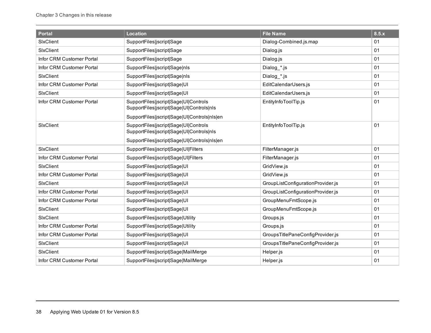| <b>Portal</b>             | <b>Location</b>                                                                                                                    | <b>File Name</b>                  | 8.5.x |
|---------------------------|------------------------------------------------------------------------------------------------------------------------------------|-----------------------------------|-------|
| SixClient                 | SupportFiles jscript Sage                                                                                                          | Dialog-Combined.js.map            | 01    |
| SixClient                 | SupportFiles jscript Sage                                                                                                          | Dialog.js                         | 01    |
| Infor CRM Customer Portal | SupportFiles jscript Sage                                                                                                          | Dialog.js                         | 01    |
| Infor CRM Customer Portal | SupportFiles jscript Sage nls                                                                                                      | Dialog_*.js                       | 01    |
| SixClient                 | SupportFiles jscript Sage nls                                                                                                      | Dialog_*.js                       | 01    |
| Infor CRM Customer Portal | SupportFiles jscript Sage UI                                                                                                       | EditCalendarUsers.js              | 01    |
| SixClient                 | SupportFiles jscript Sage UI                                                                                                       | EditCalendarUsers.js              | 01    |
| Infor CRM Customer Portal | SupportFiles jscript Sage UI Controls<br>SupportFiles jscript Sage UI Controls nls<br>SupportFiles jscript Sage UI Controls nls en | EntityInfoToolTip.js              | 01    |
| SixClient                 | SupportFiles jscript Sage UI Controls<br>SupportFiles jscript Sage UI Controls nls                                                 | EntityInfoToolTip.js              | 01    |
|                           | SupportFiles jscript Sage UI Controls nls en                                                                                       |                                   |       |
| SixClient                 | SupportFiles jscript Sage UI Filters                                                                                               | FilterManager.js                  | 01    |
| Infor CRM Customer Portal | SupportFiles jscript Sage UI Filters                                                                                               | FilterManager.js                  | 01    |
| SixClient                 | SupportFiles jscript Sage UI                                                                                                       | GridView.js                       | 01    |
| Infor CRM Customer Portal | SupportFiles jscript Sage UI                                                                                                       | GridView.js                       | 01    |
| SixClient                 | SupportFiles jscript Sage UI                                                                                                       | GroupListConfigurationProvider.js | 01    |
| Infor CRM Customer Portal | SupportFiles jscript Sage UI                                                                                                       | GroupListConfigurationProvider.js | 01    |
| Infor CRM Customer Portal | SupportFiles jscript Sage UI                                                                                                       | GroupMenuFmtScope.js              | 01    |
| SixClient                 | SupportFiles jscript Sage UI                                                                                                       | GroupMenuFmtScope.js              | 01    |
| SixClient                 | SupportFiles jscript Sage Utility                                                                                                  | Groups.js                         | 01    |
| Infor CRM Customer Portal | SupportFiles jscript Sage Utility                                                                                                  | Groups.js                         | 01    |
| Infor CRM Customer Portal | SupportFiles jscript Sage UI                                                                                                       | GroupsTitlePaneConfigProvider.js  | 01    |
| SixClient                 | SupportFiles jscript Sage UI                                                                                                       | GroupsTitlePaneConfigProvider.js  | 01    |
| SixClient                 | SupportFiles jscript Sage MailMerge                                                                                                | Helper.js                         | 01    |
| Infor CRM Customer Portal | SupportFiles jscript Sage MailMerge                                                                                                | Helper.js                         | 01    |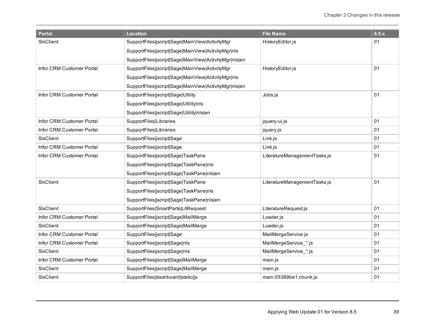| <b>Portal</b>             | <b>Location</b>                                       | <b>File Name</b>             | 8.5.x |
|---------------------------|-------------------------------------------------------|------------------------------|-------|
| SixClient                 | SupportFiles jscript Sage MainView ActivityMgr        | HistoryEditor.js             | 01    |
|                           | SupportFiles jscript Sage MainView ActivityMgr nls    |                              |       |
|                           | SupportFiles jscript Sage MainView ActivityMgr nls en |                              |       |
| Infor CRM Customer Portal | SupportFiles jscript Sage MainView ActivityMgr        | HistoryEditor.js             | 01    |
|                           | SupportFiles jscript Sage MainView ActivityMgr nls    |                              |       |
|                           | SupportFiles jscript Sage MainView ActivityMgr nls en |                              |       |
| Infor CRM Customer Portal | SupportFiles jscript Sage Utility                     | Jobs.js                      | 01    |
|                           | SupportFiles jscript Sage Utility nls                 |                              |       |
|                           | SupportFiles jscript Sage Utility nls en              |                              |       |
| Infor CRM Customer Portal | SupportFiles Libraries                                | jquery-ui.js                 | 01    |
| Infor CRM Customer Portal | SupportFiles Libraries                                | jquery.js                    | 01    |
| SixClient                 | SupportFiles jscript Sage                             | Link.js                      | 01    |
| Infor CRM Customer Portal | SupportFiles jscript Sage                             | Link.js                      | 01    |
| Infor CRM Customer Portal | SupportFiles jscript Sage TaskPane                    | LiteratureManagementTasks.js | 01    |
|                           | SupportFiles jscript Sage TaskPane nls                |                              |       |
|                           | SupportFiles jscript Sage TaskPane nls en             |                              |       |
| SixClient                 | SupportFiles jscript Sage TaskPane                    | LiteratureManagementTasks.js | 01    |
|                           | SupportFiles jscript Sage TaskPane nls                |                              |       |
|                           | SupportFiles jscript Sage TaskPane nls en             |                              |       |
| <b>SIxClient</b>          | SupportFiles SmartParts LitRequest                    | LiteratureRequest.js         | 01    |
| Infor CRM Customer Portal | SupportFiles jscript Sage MailMerge                   | Loader.js                    | 01    |
| <b>SIxClient</b>          | SupportFiles jscript Sage MailMerge                   | Loader.js                    | 01    |
| Infor CRM Customer Portal | SupportFiles jscript Sage                             | MailMergeService.js          | 01    |
| Infor CRM Customer Portal | SupportFiles jscript Sage nls                         | MailMergeService *.js        | 01    |
| SixClient                 | SupportFiles jscript Sage nls                         | MailMergeService_*.js        | 01    |
| Infor CRM Customer Portal | SupportFiles jscript Sage MailMerge                   | main.js                      | 01    |
| SixClient                 | SupportFiles jscript Sage MailMerge                   | main.js                      | 01    |
| SixClient                 | SupportFiles dashboard static js                      | main.05369be1.chunk.js       | 01    |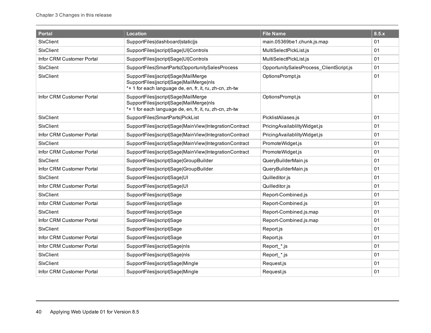| <b>Portal</b>             | <b>Location</b>                                                                                                                           | <b>File Name</b>                        | 8.5.x |
|---------------------------|-------------------------------------------------------------------------------------------------------------------------------------------|-----------------------------------------|-------|
| SixClient                 | SupportFiles dashboard static js                                                                                                          | main.05369be1.chunk.js.map              | 01    |
| SixClient                 | SupportFiles jscript Sage UI Controls                                                                                                     | MultiSelectPickList.js                  | 01    |
| Infor CRM Customer Portal | SupportFiles jscript Sage UI Controls                                                                                                     | MultiSelectPickList.js                  | 01    |
| SixClient                 | SupportFiles SmartParts OpportunitySalesProcess                                                                                           | OpportunitySalesProcess ClientScript.js | 01    |
| SixClient                 | SupportFiles jscript Sage MailMerge<br>SupportFiles jscript Sage MailMerge nls<br>*+ 1 for each language de, en, fr, it, ru, zh-cn, zh-tw | OptionsPrompt.js                        | 01    |
| Infor CRM Customer Portal | SupportFiles jscript Sage MailMerge<br>SupportFiles jscript Sage MailMerge nls<br>*+ 1 for each language de, en, fr, it, ru, zh-cn, zh-tw | OptionsPrompt.js                        | 01    |
| SixClient                 | SupportFiles SmartParts PickList                                                                                                          | PicklistAliases.js                      | 01    |
| SixClient                 | SupportFiles jscript Sage MainView IntegrationContract                                                                                    | PricingAvailabliltyWidget.js            | 01    |
| Infor CRM Customer Portal | SupportFiles jscript Sage MainView IntegrationContract                                                                                    | PricingAvailabliltyWidget.js            | 01    |
| SixClient                 | SupportFiles jscript Sage MainView IntegrationContract                                                                                    | PromoteWidget.js                        | 01    |
| Infor CRM Customer Portal | SupportFiles jscript Sage MainView IntegrationContract                                                                                    | PromoteWidget.js                        | 01    |
| SixClient                 | SupportFiles jscript Sage GroupBuilder                                                                                                    | QueryBuilderMain.js                     | 01    |
| Infor CRM Customer Portal | SupportFiles jscript Sage GroupBuilder                                                                                                    | QueryBuilderMain.js                     | 01    |
| SixClient                 | SupportFiles jscript Sage UI                                                                                                              | Quilleditor.js                          | 01    |
| Infor CRM Customer Portal | SupportFiles jscript Sage UI                                                                                                              | Quilleditor.js                          | 01    |
| SixClient                 | SupportFiles jscript Sage                                                                                                                 | Report-Combined.js                      | 01    |
| Infor CRM Customer Portal | SupportFiles jscript Sage                                                                                                                 | Report-Combined.js                      | 01    |
| SixClient                 | SupportFiles jscript Sage                                                                                                                 | Report-Combined.js.map                  | 01    |
| Infor CRM Customer Portal | SupportFiles jscript Sage                                                                                                                 | Report-Combined.js.map                  | 01    |
| SixClient                 | SupportFiles jscript Sage                                                                                                                 | Report.js                               | 01    |
| Infor CRM Customer Portal | SupportFiles jscript Sage                                                                                                                 | Report.js                               | 01    |
| Infor CRM Customer Portal | SupportFiles jscript Sage nls                                                                                                             | Report_*.js                             | 01    |
| SixClient                 | SupportFiles jscript Sage nls                                                                                                             | Report_*.js                             | 01    |
| SixClient                 | SupportFiles jscript Sage Mingle                                                                                                          | Request.js                              | 01    |
| Infor CRM Customer Portal | SupportFiles jscript Sage Mingle                                                                                                          | Request.js                              | 01    |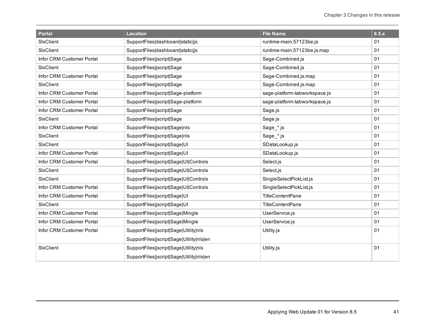| <b>Portal</b>             | <b>Location</b>                          | <b>File Name</b>              | 8.5.x |
|---------------------------|------------------------------------------|-------------------------------|-------|
| SixClient                 | SupportFiles dashboard static js         | runtime-main.57123be.js       | 01    |
| SixClient                 | SupportFiles dashboard static js         | runtime-main.57123be.js.map   | 01    |
| Infor CRM Customer Portal | SupportFiles jscript Sage                | Sage-Combined.js              | 01    |
| SixClient                 | SupportFiles jscript Sage                | Sage-Combined.js              | 01    |
| Infor CRM Customer Portal | SupportFiles jscript Sage                | Sage-Combined.js.map          | 01    |
| SixClient                 | SupportFiles jscript Sage                | Sage-Combined.js.map          | 01    |
| Infor CRM Customer Portal | SupportFiles jscript Sage-platform       | sage-platform-tabworkspace.js | 01    |
| Infor CRM Customer Portal | SupportFiles jscript Sage-platform       | sage-platform-tabworkspace.js | 01    |
| Infor CRM Customer Portal | SupportFiles jscript Sage                | Sage.js                       | 01    |
| SixClient                 | SupportFiles jscript Sage                | Sage.js                       | 01    |
| Infor CRM Customer Portal | SupportFiles jscript Sage nls            | Sage_*.js                     | 01    |
| SixClient                 | SupportFiles jscript Sage nls            | Sage_*.js                     | 01    |
| SixClient                 | SupportFiles jscript Sage UI             | SDataLookup.js                | 01    |
| Infor CRM Customer Portal | SupportFiles jscript Sage UI             | SDataLookup.js                | 01    |
| Infor CRM Customer Portal | SupportFiles jscript Sage UI Controls    | Select.js                     | 01    |
| SixClient                 | SupportFiles jscript Sage UI Controls    | Select.js                     | 01    |
| <b>SIxClient</b>          | SupportFiles jscript Sage UI Controls    | SingleSelectPickList.js       | 01    |
| Infor CRM Customer Portal | SupportFiles jscript Sage UI Controls    | SingleSelectPickList.js       | 01    |
| Infor CRM Customer Portal | SupportFiles jscript Sage UI             | <b>TitleContentPane</b>       | 01    |
| SixClient                 | SupportFiles jscript Sage UI             | <b>TitleContentPane</b>       | 01    |
| Infor CRM Customer Portal | SupportFiles jscript Sage Mingle         | UserService.js                | 01    |
| Infor CRM Customer Portal | SupportFiles jscript Sage Mingle         | UserService.js                | 01    |
| Infor CRM Customer Portal | SupportFiles jscript Sage Utility nls    | Utility.js                    | 01    |
|                           | SupportFiles jscript Sage Utility nls en |                               |       |
| SixClient                 | SupportFiles jscript Sage Utility nls    | Utility.js                    | 01    |
|                           | SupportFiles jscript Sage Utility nls en |                               |       |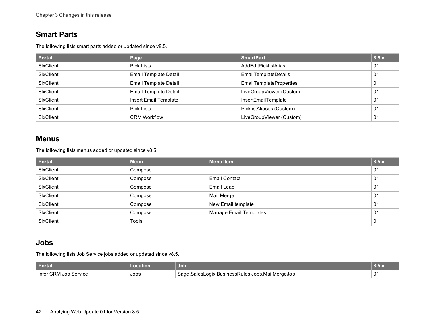#### <span id="page-45-0"></span>**Smart Parts**

The following lists smart parts added or updated since v8.5.

| <b>Portal</b>    | Page                         | <b>SmartPart</b>               | 8.5.x |
|------------------|------------------------------|--------------------------------|-------|
| SixClient        | Pick Lists                   | AddEditPicklistAlias           | 01    |
| SixClient        | <b>Email Template Detail</b> | <b>EmailTemplateDetails</b>    | 01    |
| SixClient        | <b>Email Template Detail</b> | <b>EmailTemplateProperties</b> | 01    |
| <b>SixClient</b> | <b>Email Template Detail</b> | LiveGroupViewer (Custom)       | 01    |
| SixClient        | Insert Email Template        | InsertEmailTemplate            | 01    |
| SixClient        | Pick Lists                   | PicklistAliases (Custom)       | 01    |
| SixClient        | <b>CRM Workflow</b>          | LiveGroupViewer (Custom)       | 01    |

#### <span id="page-45-1"></span>**Menus**

The following lists menus added or updated since v8.5.

| <b>Portal</b>    | <b>Menu</b>  | Menu Item                     | 8.5.x |
|------------------|--------------|-------------------------------|-------|
| SixClient        | Compose      |                               | 01    |
| SixClient        | Compose      | <b>Email Contact</b>          | 01    |
| SixClient        | Compose      | Email Lead                    | 01    |
| SixClient        | Compose      | Mail Merge                    | 01    |
| SixClient        | Compose      | New Email template            | 01    |
| SixClient        | Compose      | <b>Manage Email Templates</b> | 01    |
| <b>SixClient</b> | <b>Tools</b> |                               | 01    |

#### <span id="page-45-2"></span>**Jobs**

The following lists Job Service jobs added or updated since v8.5.

| <b>Portal</b>               |      | Job                                                                              | <b>PARTIAL</b> |
|-----------------------------|------|----------------------------------------------------------------------------------|----------------|
| Infor CRM<br>service<br>∣nh | Jobs | s.Jobs.MailMergeJob<br><b>OOIY</b><br>BusinessRules.<br>≙מב∹<br>saler.<br>$\sim$ | $^{\circ}$ 01  |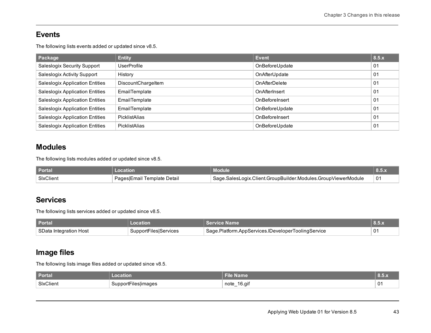#### <span id="page-46-0"></span>**Events**

The following lists events added or updated since v8.5.

| Package                                | <b>Entity</b>      | Event          | 8.5.x          |
|----------------------------------------|--------------------|----------------|----------------|
| Saleslogix Security Support            | <b>UserProfile</b> | OnBeforeUpdate | 01             |
| Saleslogix Activity Support            | History            | OnAfterUpdate  | 01             |
| <b>Saleslogix Application Entities</b> | DiscountChargeltem | OnAfterDelete  | 01             |
| <b>Saleslogix Application Entities</b> | EmailTemplate      | OnAfterInsert  | 0 <sub>1</sub> |
| <b>Saleslogix Application Entities</b> | EmailTemplate      | OnBeforeInsert | 01             |
| <b>Saleslogix Application Entities</b> | EmailTemplate      | OnBeforeUpdate | 01             |
| <b>Saleslogix Application Entities</b> | PicklistAlias      | OnBeforeInsert | 01             |
| <b>Saleslogix Application Entities</b> | PicklistAlias      | OnBeforeUpdate | 01             |

#### <span id="page-46-1"></span>**Modules**

The following lists modules added or updated since v8.5.

| <b>Portal</b> |                             | Module                                                          |                |
|---------------|-----------------------------|-----------------------------------------------------------------|----------------|
| SixClient     | Pages Email Template Detail | └ Sage.SalesLogix.Client.GroupBuilder.Modules.GroupViewerModule | 0 <sup>1</sup> |

#### <span id="page-46-2"></span>**Services**

The following lists services added or updated since v8.5.

| <b>Portal</b>          | ocation               | <b>Service Name</b>                                | $\blacksquare$ 8.5. $\ldots$ |
|------------------------|-----------------------|----------------------------------------------------|------------------------------|
| SData Integration Host | SupportFiles Services | Sage.Platform.AppServices.IDeveloperToolingService | 01                           |

### <span id="page-46-3"></span>**Image files**

The following lists image files added or updated since v8.5.

| <b>Portal</b> | cation              | ما <del>آ</del><br>File Name | ^ישו        |
|---------------|---------------------|------------------------------|-------------|
| SixClient     | SupportFiles images | $16$ .aif<br>note            | $\sim$<br>ັ |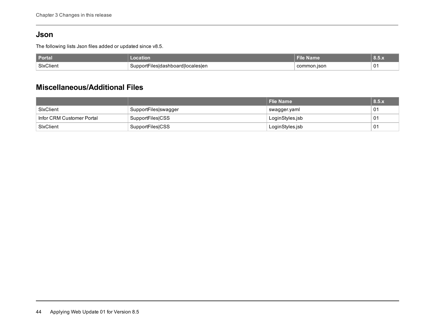#### <span id="page-47-0"></span>**Json**

The following lists Json files added or updated since v8.5.

| <b>Portal</b> | $\tau$ illon.                          | <b>Elme</b> | איטועי |
|---------------|----------------------------------------|-------------|--------|
| SixClient     | Filesidashboardliocalesien<br>Support⊦ | common.ison | 01     |

#### <span id="page-47-1"></span>**Miscellaneous/Additional Files**

|                           |                         | Flie Name       | 8.5.x |
|---------------------------|-------------------------|-----------------|-------|
| SixClient                 | SupportFiles swagger    | swagger.yaml    | 01    |
| Infor CRM Customer Portal | <b>SupportFiles CSS</b> | LoginStyles.jsb | 01    |
| SixClient                 | SupportFiles CSS        | LoginStyles.jsb | 01    |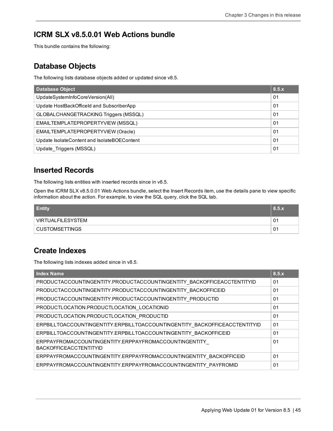#### <span id="page-48-0"></span>**ICRM SLX v8.5.0.01 Web Actions bundle**

<span id="page-48-1"></span>This bundle contains the following:

#### **Database Objects**

The following lists database objects added or updated since v8.5.

| Database Object                             | 8.5.x          |
|---------------------------------------------|----------------|
| UpdateSystemInfoCoreVersion(All)            | 01             |
| Update HostBackOfficeId and SubscriberApp   | 0 <sub>1</sub> |
| GLOBALCHANGETRACKING Triggers (MSSQL)       | 01             |
| EMAILTEMPLATEPROPERTYVIEW (MSSQL)           | 01             |
| EMAILTEMPLATEPROPERTYVIEW (Oracle)          | 0 <sub>1</sub> |
| Update IsolateContent and IsolateBOEContent | 01             |
| Update Triggers (MSSQL)                     | 01             |

#### <span id="page-48-2"></span>**Inserted Records**

The following lists entities with inserted records since in v8.5.

Open the ICRM SLX v8.5.0.01 Web Actions bundle, select the Insert Records item, use the details pane to view specific information about the action. For example, to view the SQL query, click the SQL tab.

| <b>Entity</b>     | 8.5.x |
|-------------------|-------|
| VIRTUALFILESYSTEM | 01    |
| ' CUSTOMSETTINGS  | 01    |

#### <span id="page-48-3"></span>**Create Indexes**

The following lists indexes added since in v8.5.

| <b>Index Name</b>                                                                      | 8.5.x          |
|----------------------------------------------------------------------------------------|----------------|
| PRODUCTACCOUNTINGENTITY.PRODUCTACCOUNTINGENTITY BACKOFFICEACCTENTITYID                 | 01             |
| PRODUCTACCOUNTINGENTITY.PRODUCTACCOUNTINGENTITY BACKOFFICEID                           | 01             |
| PRODUCTACCOUNTINGENTITY.PRODUCTACCOUNTINGENTITY PRODUCTID                              | 01             |
| PRODUCTLOCATION.PRODUCTLOCATION LOCATIONID                                             | 01             |
| PRODUCTLOCATION.PRODUCTLOCATION PRODUCTID                                              | 01             |
| ERPBILLTOACCOUNTINGENTITY.ERPBILLTOACCOUNTINGENTITY BACKOFFICEACCTENTITYID             | 01             |
| ERPBILLTOACCOUNTINGENTITY.ERPBILLTOACCOUNTINGENTITY BACKOFFICEID                       | 01             |
| ERPPAYFROMACCOUNTINGENTITY.ERPPAYFROMACCOUNTINGENTITY<br><b>BACKOFFICEACCTENTITYID</b> | 01             |
| ERPPAYFROMACCOUNTINGENTITY.ERPPAYFROMACCOUNTINGENTITY BACKOFFICEID                     | 01             |
| ERPPAYFROMACCOUNTINGENTITY.ERPPAYFROMACCOUNTINGENTITY PAYFROMID                        | 0 <sub>1</sub> |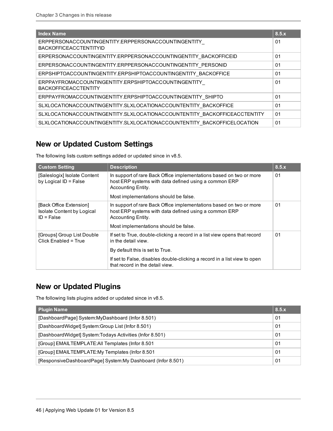| <b>Index Name</b>                                                                    | 8.5.x          |
|--------------------------------------------------------------------------------------|----------------|
| ERPPERSONACCOUNTINGENTITY.ERPPERSONACCOUNTINGENTITY<br><b>BACKOFFICEACCTENTITYID</b> | 01             |
| ERPERSONACCOUNTINGENTITY.ERPPERSONACCOUNTINGENTITY_BACKOFFICEID                      | 01             |
| ERPERSONACCOUNTINGENTITY.ERPPERSONACCOUNTINGENTITY PERSONID                          | 01             |
| ERPSHIPTOACCOUNTINGENTITY.ERPSHIPTOACCOUNTINGENTITY BACKOFFICE                       | 01             |
| ERPPAYFROMACCOUNTINGENTITY.ERPSHIPTOACCOUNTINGENTITY<br><b>BACKOFFICEACCTENTITY</b>  | 01             |
| ERPPAYFROMACCOUNTINGENTITY.ERPSHIPTOACCOUNTINGENTITY SHIPTO                          | 01             |
| SLXLOCATIONACCOUNTINGENTITY.SLXLOCATIONACCOUNTENTITY BACKOFFICE                      | 01             |
| SLXLOCATIONACCOUNTINGENTITY.SLXLOCATIONACCOUNTENTITY BACKOFFICEACCTENTITY            | 01             |
| SLXLOCATIONACCOUNTINGENTITY.SLXLOCATIONACCOUNTENTITY BACKOFFICELOCATION              | 0 <sub>1</sub> |

#### <span id="page-49-0"></span>**New or Updated Custom Settings**

| <b>Custom Setting</b>                                                 | <b>Description</b>                                                                                                                                 | 8.5.x |
|-----------------------------------------------------------------------|----------------------------------------------------------------------------------------------------------------------------------------------------|-------|
| [Saleslogix] Isolate Content<br>by Logical ID = False                 | In support of rare Back Office implementations based on two or more<br>host ERP systems with data defined using a common ERP<br>Accounting Entity. | 01    |
|                                                                       | Most implementations should be false.                                                                                                              |       |
| [Back Office Extension]<br>Isolate Content by Logical<br>$ID = False$ | In support of rare Back Office implementations based on two or more<br>host ERP systems with data defined using a common ERP<br>Accounting Entity. | 01    |
|                                                                       | Most implementations should be false.                                                                                                              |       |
| [Groups] Group List Double<br>Click Enabled = True                    | If set to True, double-clicking a record in a list view opens that record<br>in the detail view.                                                   | 01    |
|                                                                       | By default this is set to True.                                                                                                                    |       |
|                                                                       | If set to False, disables double-clicking a record in a list view to open<br>that record in the detail view.                                       |       |

The following lists custom settings added or updated since in v8.5.

#### <span id="page-49-1"></span>**New or Updated Plugins**

The following lists plugins added or updated since in v8.5.

| <b>Plugin Name</b>                                          | 8.5.x          |
|-------------------------------------------------------------|----------------|
| [DashboardPage] System:MyDashboard (Infor 8.501)            | 0 <sub>1</sub> |
| [DashboardWidget] System:Group List (Infor 8.501)           | 01             |
| [DashboardWidget] System:Todays Activities (Infor 8.501)    | 01             |
| [Group] EMAILTEMPLATE:All Templates (Infor 8.501            | 01             |
| [Group] EMAILTEMPLATE: My Templates (Infor 8.501            | 0 <sub>1</sub> |
| [ResponsiveDashboardPage] System:My Dashboard (Infor 8.501) |                |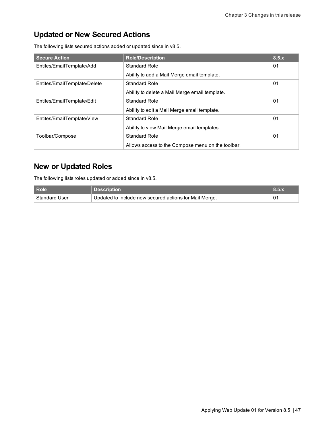### <span id="page-50-0"></span>**Updated or New Secured Actions**

The following lists secured actions added or updated since in v8.5.

| <b>Secure Action</b>         | <b>Role/Description</b>                           | 8.5.x |
|------------------------------|---------------------------------------------------|-------|
| Entites/EmailTemplate/Add    | Standard Role                                     | 01    |
|                              | Ability to add a Mail Merge email template.       |       |
| Entites/EmailTemplate/Delete | <b>Standard Role</b>                              | 01    |
|                              | Ability to delete a Mail Merge email template.    |       |
| Entites/EmailTemplate/Edit   | <b>Standard Role</b>                              | 01    |
|                              | Ability to edit a Mail Merge email template.      |       |
| Entites/EmailTemplate/View   | Standard Role                                     | 01    |
|                              | Ability to view Mail Merge email templates.       |       |
| Toolbar/Compose              | Standard Role                                     | 01    |
|                              | Allows access to the Compose menu on the toolbar. |       |

#### <span id="page-50-1"></span>**New or Updated Roles**

The following lists roles updated or added since in v8.5.

| Role                 | <b>Description</b>                                     |    |
|----------------------|--------------------------------------------------------|----|
| <b>Standard User</b> | Updated to include new secured actions for Mail Merge. | 01 |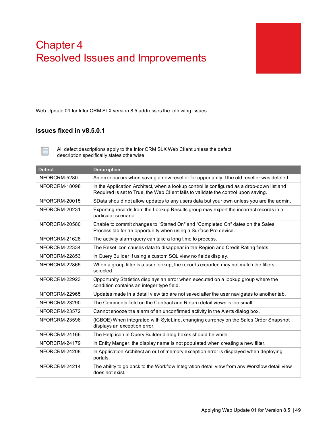# <span id="page-52-0"></span>Chapter 4 Resolved Issues and Improvements

<span id="page-52-2"></span><span id="page-52-1"></span>Web Update 01 for Infor CRM SLX version 8.5 addresses the following issues:

#### **Issues fixed in v8.5.0.1**

All defect descriptions apply to the Infor CRM SLX Web Client unless the defect description specifically states otherwise.

| <b>Defect</b>  | <b>Description</b>                                                                                                                                                              |
|----------------|---------------------------------------------------------------------------------------------------------------------------------------------------------------------------------|
| INFORCRM-5280  | An error occurs when saving a new reseller for opportunity if the old reseller was deleted.                                                                                     |
| INFORCRM-18098 | In the Application Architect, when a lookup control is configured as a drop-down list and<br>Required is set to True, the Web Client fails to validate the control upon saving. |
| INFORCRM-20015 | SData should not allow updates to any users data but your own unless you are the admin.                                                                                         |
| INFORCRM-20231 | Exporting records from the Lookup Results group may export the incorrect records in a<br>particular scenario.                                                                   |
| INFORCRM-20580 | Enable to commit changes to "Started On" and "Completed On" dates on the Sales<br>Process tab for an opportunity when using a Surface Pro device.                               |
| INFORCRM-21628 | The activity alarm query can take a long time to process.                                                                                                                       |
| INFORCRM-22334 | The Reset icon causes data to disappear in the Region and Credit Rating fields.                                                                                                 |
| INFORCRM-22853 | In Query Builder if using a custom SQL view no fields display.                                                                                                                  |
| INFORCRM-22865 | When a group filter is a user lookup, the records exported may not match the filters<br>selected.                                                                               |
| INFORCRM-22923 | Opportunity Statistics displays an error when executed on a lookup group where the<br>condition contains an integer type field.                                                 |
| INFORCRM-22965 | Updates made in a detail view tab are not saved after the user navigates to another tab.                                                                                        |
| INFORCRM-23290 | The Comments field on the Contract and Return detail views is too small.                                                                                                        |
| INFORCRM-23572 | Cannot snooze the alarm of an unconfirmed activity in the Alerts dialog box.                                                                                                    |
| INFORCRM-23596 | (ICBOE) When integrated with SyteLine, changing currency on the Sales Order Snapshot<br>displays an exception error.                                                            |
| INFORCRM-24166 | The Help icon in Query Builder dialog boxes should be white.                                                                                                                    |
| INFORCRM-24179 | In Entity Manger, the display name is not populated when creating a new filter.                                                                                                 |
| INFORCRM-24208 | In Application Architect an out of memory exception error is displayed when deploying<br>portals.                                                                               |
| INFORCRM-24214 | The ability to go back to the Workflow Integration detail view from any Workflow detail view<br>does not exist.                                                                 |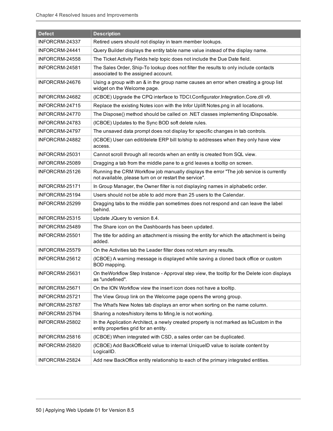| <b>Defect</b>  | <b>Description</b>                                                                                                                               |
|----------------|--------------------------------------------------------------------------------------------------------------------------------------------------|
| INFORCRM-24337 | Retired users should not display in team member lookups.                                                                                         |
| INFORCRM-24441 | Query Builder displays the entity table name value instead of the display name.                                                                  |
| INFORCRM-24558 | The Ticket Activity Fields help topic does not include the Due Date field.                                                                       |
| INFORCRM-24581 | The Sales Order, Ship-To lookup does not filter the results to only include contacts<br>associated to the assigned account.                      |
| INFORCRM-24676 | Using a group with an & in the group name causes an error when creating a group list<br>widget on the Welcome page.                              |
| INFORCRM-24682 | (ICBOE) Upgrade the CPQ interface to TDCI.Configurator.Integration.Core.dll v9.                                                                  |
| INFORCRM-24715 | Replace the existing Notes icon with the Infor Uplift Notes.png in all locations.                                                                |
| INFORCRM-24770 | The Dispose() method should be called on .NET classes implementing IDisposable.                                                                  |
| INFORCRM-24783 | (ICBOE) Updates to the Sync BOD soft delete rules.                                                                                               |
| INFORCRM-24797 | The unsaved data prompt does not display for specific changes in tab controls.                                                                   |
| INFORCRM-24882 | (ICBOE) User can edit/delete ERP bill to/ship to addresses when they only have view<br>access.                                                   |
| INFORCRM-25031 | Cannot scroll through all records when an entity is created from SQL view.                                                                       |
| INFORCRM-25089 | Dragging a tab from the middle pane to a grid leaves a tooltip on screen.                                                                        |
| INFORCRM-25126 | Running the CRM Workflow job manually displays the error "The job service is currently<br>not available, please turn on or restart the service". |
| INFORCRM-25171 | In Group Manager, the Owner filter is not displaying names in alphabetic order.                                                                  |
| INFORCRM-25194 | Users should not be able to add more than 25 users to the Calendar.                                                                              |
| INFORCRM-25299 | Dragging tabs to the middle pan sometimes does not respond and can leave the label<br>behind.                                                    |
| INFORCRM-25315 | Update JQuery to version 8.4.                                                                                                                    |
| INFORCRM-25489 | The Share icon on the Dashboards has been updated.                                                                                               |
| INFORCRM-25501 | The title for adding an attachment is missing the entity for which the attachment is being<br>added.                                             |
| INFORCRM-25579 | On the Activities tab the Leader filter does not return any results.                                                                             |
| INFORCRM-25612 | (ICBOE) A warning message is displayed while saving a cloned back office or custom<br>BOD mapping.                                               |
| INFORCRM-25631 | On the Workflow Step Instance - Approval step view, the tooltip for the Delete icon displays<br>as "undefined".                                  |
| INFORCRM-25671 | On the ION Workflow view the insert icon does not have a tooltip.                                                                                |
| INFORCRM-25721 | The View Group link on the Welcome page opens the wrong group.                                                                                   |
| INFORCRM-25787 | The What's New Notes tab displays an error when sorting on the name column.                                                                      |
| INFORCRM-25794 | Sharing a notes/history items to Ming. le is not working.                                                                                        |
| INFORCRM-25802 | In the Application Architect, a newly created property is not marked as IsCustom in the<br>entity properties grid for an entity.                 |
| INFORCRM-25816 | (ICBOE) When integrated with CSD, a sales order can be duplicated.                                                                               |
| INFORCRM-25820 | (ICBOE) Add BackOfficeld value to internal UniqueID value to isolate content by<br>LogicalID.                                                    |
| INFORCRM-25824 | Add new BackOffice entity relationship to each of the primary integrated entities.                                                               |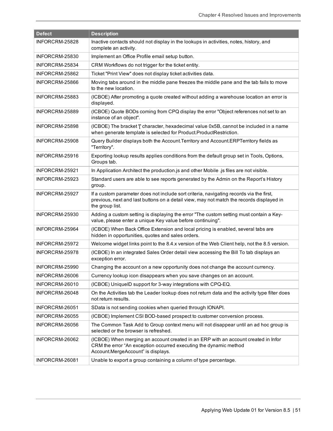| <b>Defect</b>  | <b>Description</b>                                                                                                                                                                                     |
|----------------|--------------------------------------------------------------------------------------------------------------------------------------------------------------------------------------------------------|
| INFORCRM-25828 | Inactive contacts should not display in the lookups in activities, notes, history, and<br>complete an activity.                                                                                        |
| INFORCRM-25830 | Implement an Office Profile email setup button.                                                                                                                                                        |
| INFORCRM-25834 | CRM Workflows do not trigger for the ticket entity.                                                                                                                                                    |
| INFORCRM-25862 | Ticket "Print View" does not display ticket activities data.                                                                                                                                           |
| INFORCRM-25866 | Moving tabs around in the middle pane freezes the middle pane and the tab fails to move<br>to the new location.                                                                                        |
| INFORCRM-25883 | (ICBOE) After promoting a quote created without adding a warehouse location an error is<br>displayed.                                                                                                  |
| INFORCRM-25889 | (ICBOE) Quote BODs coming from CPQ display the error "Object references not set to an<br>instance of an object".                                                                                       |
| INFORCRM-25898 | (ICBOE) The bracket '[' character, hexadecimal value 0x5B, cannot be included in a name<br>when generate template is selected for Product.ProductRestriction.                                          |
| INFORCRM-25908 | Query Builder displays both the Account. Territory and Account. ERPTerritory fields as<br>"Territory".                                                                                                 |
| INFORCRM-25916 | Exporting lookup results applies conditions from the default group set in Tools, Options,<br>Groups tab.                                                                                               |
| INFORCRM-25921 | In Application Architect the production is and other Mobile .js files are not visible.                                                                                                                 |
| INFORCRM-25923 | Standard users are able to see reports generated by the Admin on the Report's History<br>group.                                                                                                        |
| INFORCRM-25927 | If a custom parameter does not include sort criteria, navigating records via the first,<br>previous, next and last buttons on a detail view, may not match the records displayed in<br>the group list. |
| INFORCRM-25930 | Adding a custom setting is displaying the error "The custom setting must contain a Key-<br>value, please enter a unique Key value before continuing".                                                  |
| INFORCRM-25964 | (ICBOE) When Back Office Extension and local pricing is enabled, several tabs are<br>hidden in opportunities, quotes and sales orders.                                                                 |
| INFORCRM-25972 | Welcome widget links point to the 8.4.x version of the Web Client help, not the 8.5 version.                                                                                                           |
| INFORCRM-25978 | (ICBOE) In an integrated Sales Order detail view accessing the Bill To tab displays an<br>exception error.                                                                                             |
| INFORCRM-25990 | Changing the account on a new opportunity does not change the account currency.                                                                                                                        |
| INFORCRM-26006 | Currency lookup icon disappears when you save changes on an account.                                                                                                                                   |
| INFORCRM-26010 | (ICBOE) UniqueID support for 3-way integrations with CPQ-EQ.                                                                                                                                           |
| INFORCRM-26048 | On the Activities tab the Leader lookup does not return data and the activity type filter does<br>not return results.                                                                                  |
| INFORCRM-26051 | SData is not sending cookies when queried through IONAPI.                                                                                                                                              |
| INFORCRM-26055 | (ICBOE) Implement CSI BOD-based prospect to customer conversion process.                                                                                                                               |
| INFORCRM-26056 | The Common Task Add to Group context menu will not disappear until an ad hoc group is<br>selected or the browser is refreshed.                                                                         |
| INFORCRM-26062 | (ICBOE) When merging an account created in an ERP with an account created in Infor<br>CRM the error "An exception occurred executing the dynamic method<br>Account.MergeAccount" is displays.          |
| INFORCRM-26081 | Unable to export a group containing a column of type percentage.                                                                                                                                       |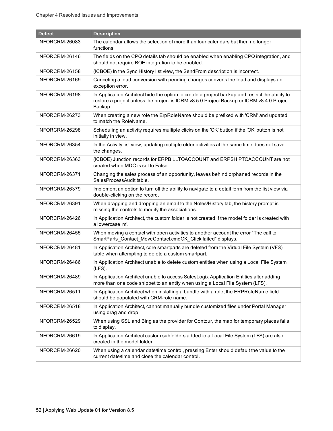| <b>Defect</b>  | <b>Description</b>                                                                                                                                                                                      |
|----------------|---------------------------------------------------------------------------------------------------------------------------------------------------------------------------------------------------------|
| INFORCRM-26083 | The calendar allows the selection of more than four calendars but then no longer<br>functions.                                                                                                          |
| INFORCRM-26146 | The fields on the CPQ details tab should be enabled when enabling CPQ integration, and<br>should not require BOE integration to be enabled.                                                             |
| INFORCRM-26158 | (ICBOE) In the Sync History list view, the SendFrom description is incorrect.                                                                                                                           |
| INFORCRM-26169 | Canceling a lead conversion with pending changes converts the lead and displays an<br>exception error.                                                                                                  |
| INFORCRM-26198 | In Application Architect hide the option to create a project backup and restrict the ability to<br>restore a project unless the project is ICRM v8.5.0 Project Backup or ICRM v8.4.0 Project<br>Backup. |
| INFORCRM-26273 | When creating a new role the ErpRoleName should be prefixed with 'CRM' and updated<br>to match the RoleName.                                                                                            |
| INFORCRM-26298 | Scheduling an activity requires multiple clicks on the 'OK' button if the 'OK' button is not<br>initially in view.                                                                                      |
| INFORCRM-26354 | In the Activity list view, updating multiple older activities at the same time does not save<br>the changes.                                                                                            |
| INFORCRM-26363 | (ICBOE) Junction records for ERPBILLTOACCOUNT and ERPSHIPTOACCOUNT are not<br>created when MDC is set to False.                                                                                         |
| INFORCRM-26371 | Changing the sales process of an opportunity, leaves behind orphaned records in the<br>SalesProcessAudit table.                                                                                         |
| INFORCRM-26379 | Implement an option to turn off the ability to navigate to a detail form from the list view via<br>double-clicking on the record.                                                                       |
| INFORCRM-26391 | When dragging and dropping an email to the Notes/History tab, the history prompt is<br>missing the controls to modify the associations.                                                                 |
| INFORCRM-26426 | In Application Architect, the custom folder is not created if the model folder is created with<br>a lowercase 'm'.                                                                                      |
| INFORCRM-26455 | When moving a contact with open activities to another account the error "The call to<br>SmartParts_Contact_MoveContact.cmdOK_Click failed" displays.                                                    |
| INFORCRM-26481 | In Application Architect, core smartparts are deleted from the Virtual File System (VFS)<br>table when attempting to delete a custom smartpart.                                                         |
| INFORCRM-26486 | In Application Architect unable to delete custom entities when using a Local File System<br>(LFS).                                                                                                      |
| INFORCRM-26489 | In Application Architect unable to access SalesLogix Application Entities after adding<br>more than one code snippet to an entity when using a Local File System (LFS).                                 |
| INFORCRM-26511 | In Application Architect when installing a bundle with a role, the ERPRoleName field<br>should be populated with CRM-role name.                                                                         |
| INFORCRM-26518 | In Application Architect, cannot manually bundle customized files under Portal Manager<br>using drag and drop.                                                                                          |
| INFORCRM-26529 | When using SSL and Bing as the provider for Contour, the map for temporary places fails<br>to display.                                                                                                  |
| INFORCRM-26619 | In Application Architect custom subfolders added to a Local File System (LFS) are also<br>created in the model folder.                                                                                  |
| INFORCRM-26620 | When using a calendar date/time control, pressing Enter should default the value to the<br>current date/time and close the calendar control.                                                            |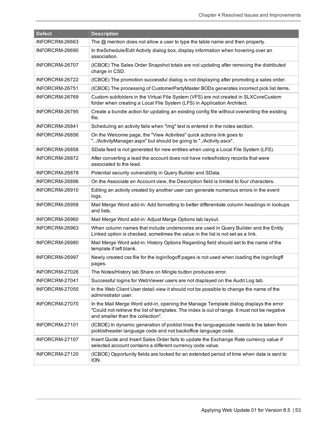| <b>Defect</b>  | <b>Description</b>                                                                                                                                                                                                         |
|----------------|----------------------------------------------------------------------------------------------------------------------------------------------------------------------------------------------------------------------------|
| INFORCRM-26663 | The $@$ mention does not allow a user to type the table name and then property.                                                                                                                                            |
| INFORCRM-26690 | In the Schedule/Edit Activity dialog box, display information when hovering over an<br>association.                                                                                                                        |
| INFORCRM-26707 | (ICBOE) The Sales Order Snapshot totals are not updating after removing the distributed<br>charge in CSD.                                                                                                                  |
| INFORCRM-26722 | (ICBOE) The promotion successful dialog is not displaying after promoting a sales order.                                                                                                                                   |
| INFORCRM-26751 | (ICBOE) The processing of CustomerPartyMaster BODs generates incorrect pick list items.                                                                                                                                    |
| INFORCRM-26769 | Custom subfolders in the Virtual File System (VFS) are not created in SLXCoreCustom<br>folder when creating a Local File System (LFS) in Application Architect.                                                            |
| INFORCRM-26795 | Create a bundle action for updating an existing config file without overwriting the existing<br>file.                                                                                                                      |
| INFORCRM-26841 | Scheduling an activity fails when "img" text is entered in the notes section.                                                                                                                                              |
| INFORCRM-26856 | On the Welcome page, the "View Activities" quick actions link goes to<br>"/ActivityManager.aspx" but should be going to "/Activity.ascx".                                                                                  |
| INFORCRM-26858 | SData feed is not generated for new entities when using a Local File System (LFS).                                                                                                                                         |
| INFORCRM-26872 | After converting a lead the account does not have notes/history records that were<br>associated to the lead.                                                                                                               |
| INFORCRM-26878 | Potential security vulnerability in Query Builder and SData.                                                                                                                                                               |
| INFORCRM-26896 | On the Associate an Account view, the Description field is limited to four characters.                                                                                                                                     |
| INFORCRM-26910 | Editing an activity created by another user can generate numerous errors in the event<br>logs.                                                                                                                             |
| INFORCRM-26958 | Mail Merge Word add-in: Add formatting to better differentiate column headings in lookups<br>and lists.                                                                                                                    |
| INFORCRM-26960 | Mail Merge Word add-in: Adjust Merge Options tab layout.                                                                                                                                                                   |
| INFORCRM-26963 | When column names that include underscores are used in Query Builder and the Entity<br>Linked option is checked, sometimes the value in the list is not set as a link.                                                     |
| INFORCRM-26980 | Mail Merge Word add-in: History Options Regarding field should set to the name of the<br>template if left blank.                                                                                                           |
| INFORCRM-26997 | Newly created css file for the login/logoff pages is not used when loading the login/logff<br>pages.                                                                                                                       |
| INFORCRM-27026 | The Notes/History tab Share on Mingle button produces error.                                                                                                                                                               |
| INFORCRM-27041 | Successful logins for WebViewer users are not displayed on the Audit Log tab.                                                                                                                                              |
| INFORCRM-27055 | In the Web Client User detail view it should not be possible to change the name of the<br>administrator user.                                                                                                              |
| INFORCRM-27070 | In the Mail Merge Word add-in, opening the Manage Template dialog displays the error<br>"Could not retrieve the list of templates. The index is out of range. It must not be negative<br>and smaller than the collection". |
| INFORCRM-27101 | (ICBOE) In dynamic generation of picklist lines the languagecode needs to be taken from<br>picklistheader language code and not backoffice language code.                                                                  |
| INFORCRM-27107 | Insert Quote and Insert Sales Order fails to update the Exchange Rate currency value if<br>selected account contains a different currency code value.                                                                      |
| INFORCRM-27120 | (ICBOE) Opportunity fields are locked for an extended period of time when data is sent to<br>ION.                                                                                                                          |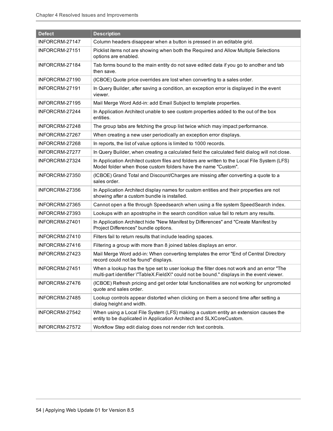| <b>Defect</b>  | <b>Description</b>                                                                                                                                                                     |
|----------------|----------------------------------------------------------------------------------------------------------------------------------------------------------------------------------------|
| INFORCRM-27147 | Column headers disappear when a button is pressed in an editable grid.                                                                                                                 |
| INFORCRM-27151 | Picklist items not are showing when both the Required and Allow Multiple Selections<br>options are enabled.                                                                            |
| INFORCRM-27184 | Tab forms bound to the main entity do not save edited data if you go to another and tab<br>then save.                                                                                  |
| INFORCRM-27190 | (ICBOE) Quote price overrides are lost when converting to a sales order.                                                                                                               |
| INFORCRM-27191 | In Query Builder, after saving a condition, an exception error is displayed in the event<br>viewer.                                                                                    |
| INFORCRM-27195 | Mail Merge Word Add-in: add Email Subject to template properties.                                                                                                                      |
| INFORCRM-27244 | In Application Architect unable to see custom properties added to the out of the box<br>entities.                                                                                      |
| INFORCRM-27248 | The group tabs are fetching the group list twice which may impact performance.                                                                                                         |
| INFORCRM-27267 | When creating a new user periodically an exception error displays.                                                                                                                     |
| INFORCRM-27268 | In reports, the list of value options is limited to 1000 records.                                                                                                                      |
| INFORCRM-27277 | In Query Builder, when creating a calculated field the calculated field dialog will not close.                                                                                         |
| INFORCRM-27324 | In Application Architect custom files and folders are written to the Local File System (LFS)<br>Model folder when those custom folders have the name "Custom".                         |
| INFORCRM-27350 | (ICBOE) Grand Total and Discount/Charges are missing after converting a quote to a<br>sales order.                                                                                     |
| INFORCRM-27356 | In Application Architect display names for custom entities and their properties are not<br>showing after a custom bundle is installed.                                                 |
| INFORCRM-27365 | Cannot open a file through Speedsearch when using a file system SpeedSearch index.                                                                                                     |
| INFORCRM-27393 | Lookups with an apostrophe in the search condition value fail to return any results.                                                                                                   |
| INFORCRM-27401 | In Application Architect hide "New Manifest by Differences" and "Create Manifest by<br>Project Differences" bundle options.                                                            |
| INFORCRM-27410 | Filters fail to return results that include leading spaces.                                                                                                                            |
| INFORCRM-27416 | Filtering a group with more than 8 joined tables displays an error.                                                                                                                    |
| INFORCRM-27423 | Mail Merge Word add-in: When converting templates the error "End of Central Directory<br>record could not be found" displays.                                                          |
| INFORCRM-27451 | When a lookup has the type set to user lookup the filter does not work and an error "The<br>multi-part identifier \"TableX.FieldX\" could not be bound." displays in the event viewer. |
| INFORCRM-27476 | (ICBOE) Refresh pricing and get order total functionalities are not working for unpromoted<br>quote and sales order.                                                                   |
| INFORCRM-27485 | Lookup controls appear distorted when clicking on them a second time after setting a<br>dialog height and width.                                                                       |
| INFORCRM-27542 | When using a Local File System (LFS) making a custom entity an extension causes the<br>entity to be duplicated in Application Architect and SLXCoreCustom.                             |
| INFORCRM-27572 | Workflow Step edit dialog does not render rich text controls.                                                                                                                          |